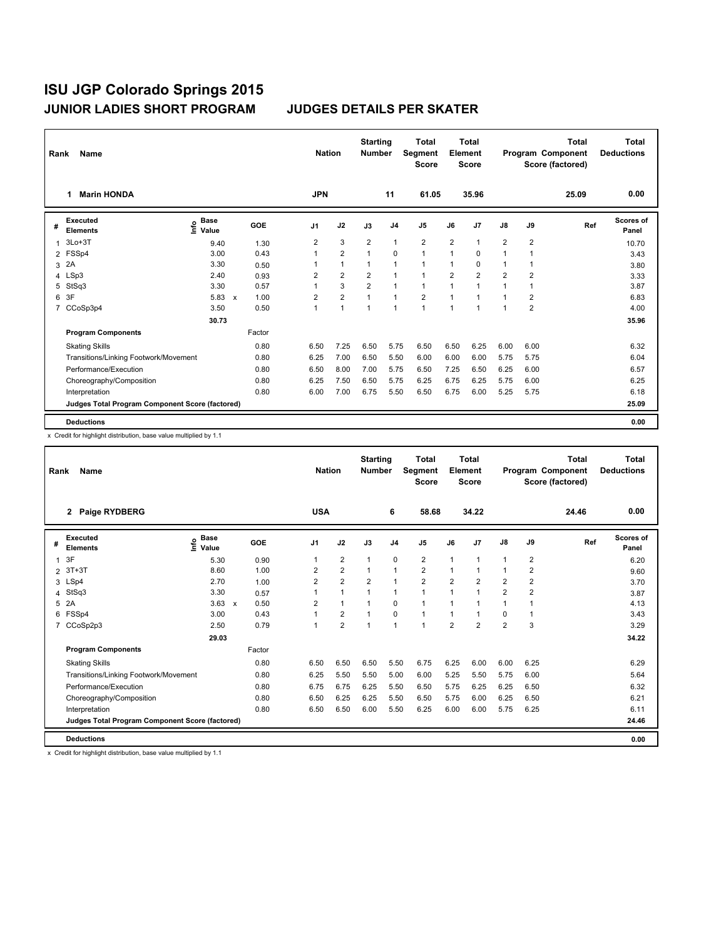| Rank           | <b>Name</b>                                     |                                             |                           |            |                | <b>Nation</b>  | <b>Starting</b><br><b>Number</b> |                | <b>Total</b><br>Segment<br><b>Score</b> |                | <b>Total</b><br>Element<br><b>Score</b> |                |                | <b>Total</b><br>Program Component<br>Score (factored) | Total<br><b>Deductions</b> |
|----------------|-------------------------------------------------|---------------------------------------------|---------------------------|------------|----------------|----------------|----------------------------------|----------------|-----------------------------------------|----------------|-----------------------------------------|----------------|----------------|-------------------------------------------------------|----------------------------|
|                | <b>Marin HONDA</b><br>1                         |                                             |                           |            | <b>JPN</b>     |                |                                  | 11             | 61.05                                   |                | 35.96                                   |                |                | 25.09                                                 | 0.00                       |
| #              | Executed<br><b>Elements</b>                     | <b>Base</b><br>e <sup>Base</sup><br>⊆ Value |                           | <b>GOE</b> | J <sub>1</sub> | J2             | J3                               | J <sub>4</sub> | J5                                      | J6             | J <sub>7</sub>                          | J8             | J9             | Ref                                                   | Scores of<br>Panel         |
| 1              | $3Lo+3T$                                        | 9.40                                        |                           | 1.30       | $\overline{2}$ | 3              | $\overline{2}$                   | $\mathbf{1}$   | $\overline{2}$                          | $\overline{2}$ | $\mathbf{1}$                            | $\overline{2}$ | $\overline{2}$ |                                                       | 10.70                      |
| $\overline{2}$ | FSSp4                                           | 3.00                                        |                           | 0.43       | 1              | $\overline{2}$ | $\mathbf{1}$                     | $\mathbf 0$    | $\mathbf{1}$                            | 1              | $\mathbf 0$                             | 1              | 1              |                                                       | 3.43                       |
| 3              | 2A                                              | 3.30                                        |                           | 0.50       |                | $\mathbf{1}$   | $\mathbf 1$                      | $\mathbf{1}$   | 1                                       | 1              | 0                                       | 1              |                |                                                       | 3.80                       |
| 4              | LSp3                                            | 2.40                                        |                           | 0.93       | $\overline{2}$ | $\overline{2}$ | $\overline{2}$                   | $\mathbf{1}$   | 1                                       | $\overline{2}$ | $\overline{2}$                          | $\overline{2}$ | $\overline{2}$ |                                                       | 3.33                       |
| 5              | StSq3                                           | 3.30                                        |                           | 0.57       |                | 3              | $\overline{2}$                   | $\mathbf{1}$   | $\mathbf{1}$                            | $\mathbf{1}$   | $\blacktriangleleft$                    | 1              | 1              |                                                       | 3.87                       |
| 6              | 3F                                              | 5.83                                        | $\boldsymbol{\mathsf{x}}$ | 1.00       | $\overline{2}$ | $\overline{2}$ | 1                                | $\mathbf{1}$   | $\overline{2}$                          | 1              | 1                                       | 1              | $\overline{2}$ |                                                       | 6.83                       |
| 7              | CCoSp3p4                                        | 3.50                                        |                           | 0.50       | $\overline{1}$ | $\mathbf{1}$   | $\overline{1}$                   | $\mathbf{1}$   | $\mathbf{1}$                            | 1              | $\overline{1}$                          | $\overline{1}$ | $\overline{2}$ |                                                       | 4.00                       |
|                |                                                 | 30.73                                       |                           |            |                |                |                                  |                |                                         |                |                                         |                |                |                                                       | 35.96                      |
|                | <b>Program Components</b>                       |                                             |                           | Factor     |                |                |                                  |                |                                         |                |                                         |                |                |                                                       |                            |
|                | <b>Skating Skills</b>                           |                                             |                           | 0.80       | 6.50           | 7.25           | 6.50                             | 5.75           | 6.50                                    | 6.50           | 6.25                                    | 6.00           | 6.00           |                                                       | 6.32                       |
|                | Transitions/Linking Footwork/Movement           |                                             |                           | 0.80       | 6.25           | 7.00           | 6.50                             | 5.50           | 6.00                                    | 6.00           | 6.00                                    | 5.75           | 5.75           |                                                       | 6.04                       |
|                | Performance/Execution                           |                                             |                           | 0.80       | 6.50           | 8.00           | 7.00                             | 5.75           | 6.50                                    | 7.25           | 6.50                                    | 6.25           | 6.00           |                                                       | 6.57                       |
|                | Choreography/Composition                        |                                             |                           | 0.80       | 6.25           | 7.50           | 6.50                             | 5.75           | 6.25                                    | 6.75           | 6.25                                    | 5.75           | 6.00           |                                                       | 6.25                       |
|                | Interpretation                                  |                                             |                           | 0.80       | 6.00           | 7.00           | 6.75                             | 5.50           | 6.50                                    | 6.75           | 6.00                                    | 5.25           | 5.75           |                                                       | 6.18                       |
|                | Judges Total Program Component Score (factored) |                                             |                           |            |                |                |                                  |                |                                         |                |                                         |                |                |                                                       | 25.09                      |
|                | <b>Deductions</b>                               |                                             |                           |            |                |                |                                  |                |                                         |                |                                         |                |                |                                                       | 0.00                       |

x Credit for highlight distribution, base value multiplied by 1.1

| Rank           | Name                                            |                              |                      |                | <b>Nation</b>  | <b>Starting</b><br><b>Number</b> |                | <b>Total</b><br>Segment<br><b>Score</b> |                | <b>Total</b><br>Element<br><b>Score</b> |                |                | <b>Total</b><br>Program Component<br>Score (factored) | <b>Total</b><br><b>Deductions</b> |
|----------------|-------------------------------------------------|------------------------------|----------------------|----------------|----------------|----------------------------------|----------------|-----------------------------------------|----------------|-----------------------------------------|----------------|----------------|-------------------------------------------------------|-----------------------------------|
|                | Paige RYDBERG<br>$\mathbf{2}$                   |                              |                      | <b>USA</b>     |                |                                  | 6              | 58.68                                   |                | 34.22                                   |                |                | 24.46                                                 | 0.00                              |
| #              | <b>Executed</b><br><b>Elements</b>              | <b>Base</b><br>١nf٥<br>Value | <b>GOE</b>           | J1             | J2             | J3                               | J <sub>4</sub> | J5                                      | J6             | J <sub>7</sub>                          | J8             | J9             | Ref                                                   | <b>Scores of</b><br>Panel         |
| $\overline{1}$ | 3F                                              | 5.30                         | 0.90                 |                | 2              | 1                                | $\mathbf 0$    | 2                                       | $\mathbf{1}$   | $\mathbf{1}$                            | 1              | $\overline{2}$ |                                                       | 6.20                              |
| $\overline{2}$ | $3T+3T$                                         | 8.60                         | 1.00                 | 2              | $\overline{2}$ | 1                                | $\mathbf{1}$   | 2                                       | 1              | 1                                       | 1              | $\overline{2}$ |                                                       | 9.60                              |
|                | 3 LSp4                                          | 2.70                         | 1.00                 | $\overline{2}$ | $\overline{2}$ | $\overline{2}$                   | $\overline{1}$ | $\overline{2}$                          | $\overline{2}$ | $\overline{2}$                          | $\overline{2}$ | $\overline{2}$ |                                                       | 3.70                              |
| 4              | StSq3                                           | 3.30                         | 0.57                 | 1              | 1              | $\overline{1}$                   | $\mathbf{1}$   | 1                                       | 1              | 1                                       | $\overline{2}$ | $\overline{2}$ |                                                       | 3.87                              |
| 5              | 2A                                              | 3.63                         | 0.50<br>$\mathsf{x}$ | $\overline{2}$ | $\mathbf{1}$   | $\mathbf{1}$                     | $\mathbf 0$    | 1                                       | 1              | 1                                       | 1              | 1              |                                                       | 4.13                              |
| 6              | FSSp4                                           | 3.00                         | 0.43                 |                | $\overline{2}$ | $\mathbf{1}$                     | 0              | 1                                       | 1              | 1                                       | 0              | 1              |                                                       | 3.43                              |
| $\overline{7}$ | CCoSp2p3                                        | 2.50                         | 0.79                 | 1              | $\overline{2}$ | $\overline{1}$                   | $\mathbf{1}$   | 1                                       | $\overline{2}$ | $\overline{2}$                          | $\overline{2}$ | 3              |                                                       | 3.29                              |
|                |                                                 | 29.03                        |                      |                |                |                                  |                |                                         |                |                                         |                |                |                                                       | 34.22                             |
|                | <b>Program Components</b>                       |                              | Factor               |                |                |                                  |                |                                         |                |                                         |                |                |                                                       |                                   |
|                | <b>Skating Skills</b>                           |                              | 0.80                 | 6.50           | 6.50           | 6.50                             | 5.50           | 6.75                                    | 6.25           | 6.00                                    | 6.00           | 6.25           |                                                       | 6.29                              |
|                | Transitions/Linking Footwork/Movement           |                              | 0.80                 | 6.25           | 5.50           | 5.50                             | 5.00           | 6.00                                    | 5.25           | 5.50                                    | 5.75           | 6.00           |                                                       | 5.64                              |
|                | Performance/Execution                           |                              | 0.80                 | 6.75           | 6.75           | 6.25                             | 5.50           | 6.50                                    | 5.75           | 6.25                                    | 6.25           | 6.50           |                                                       | 6.32                              |
|                | Choreography/Composition                        |                              | 0.80                 | 6.50           | 6.25           | 6.25                             | 5.50           | 6.50                                    | 5.75           | 6.00                                    | 6.25           | 6.50           |                                                       | 6.21                              |
|                | Interpretation                                  |                              | 0.80                 | 6.50           | 6.50           | 6.00                             | 5.50           | 6.25                                    | 6.00           | 6.00                                    | 5.75           | 6.25           |                                                       | 6.11                              |
|                | Judges Total Program Component Score (factored) |                              |                      |                |                |                                  |                |                                         |                |                                         |                |                |                                                       | 24.46                             |
|                | <b>Deductions</b>                               |                              |                      |                |                |                                  |                |                                         |                |                                         |                |                |                                                       | 0.00                              |

x Credit for highlight distribution, base value multiplied by 1.1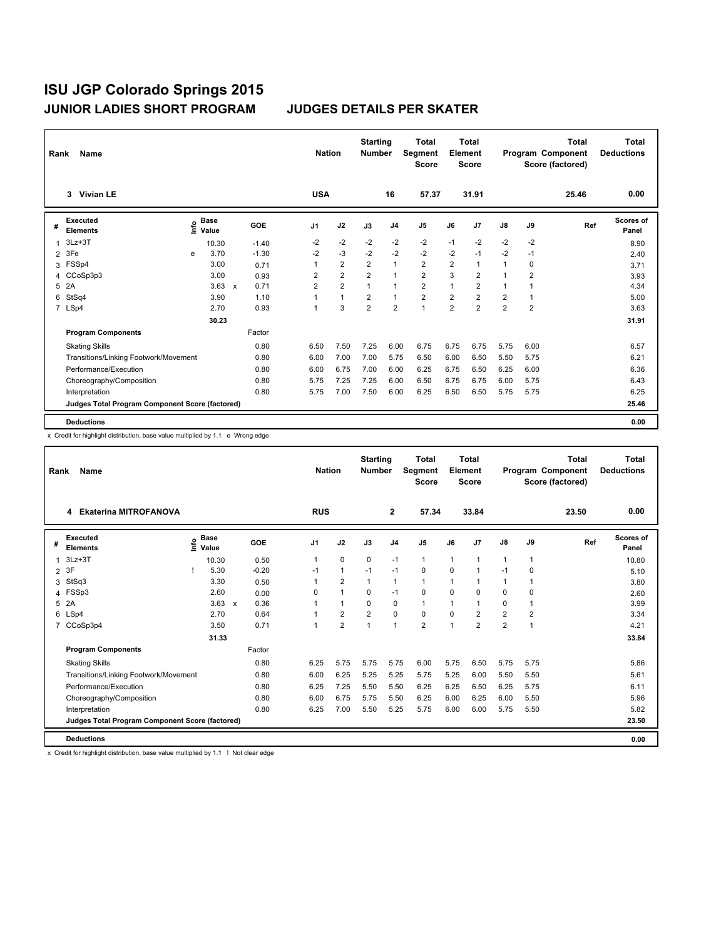| Rank | Name                                            |    |                      |              |         |                | <b>Nation</b>  | <b>Starting</b><br><b>Number</b> |                | <b>Total</b><br>Segment<br><b>Score</b> |                | <b>Total</b><br>Element<br><b>Score</b> |                |                | <b>Total</b><br>Program Component<br>Score (factored) | Total<br><b>Deductions</b> |
|------|-------------------------------------------------|----|----------------------|--------------|---------|----------------|----------------|----------------------------------|----------------|-----------------------------------------|----------------|-----------------------------------------|----------------|----------------|-------------------------------------------------------|----------------------------|
|      | 3 Vivian LE                                     |    |                      |              |         | <b>USA</b>     |                |                                  | 16             | 57.37                                   |                | 31.91                                   |                |                | 25.46                                                 | 0.00                       |
| #    | Executed<br><b>Elements</b>                     | ۴٥ | <b>Base</b><br>Value |              | GOE     | J <sub>1</sub> | J2             | J3                               | J <sub>4</sub> | J <sub>5</sub>                          | J6             | J7                                      | J8             | J9             | Ref                                                   | Scores of<br>Panel         |
| 1    | $3Lz + 3T$                                      |    | 10.30                |              | $-1.40$ | -2             | $-2$           | $-2$                             | $-2$           | $-2$                                    | $-1$           | $-2$                                    | $-2$           | $-2$           |                                                       | 8.90                       |
| 2    | 3Fe                                             | e  | 3.70                 |              | $-1.30$ | $-2$           | $-3$           | $-2$                             | $-2$           | $-2$                                    | $-2$           | $-1$                                    | $-2$           | $-1$           |                                                       | 2.40                       |
| 3    | FSSp4                                           |    | 3.00                 |              | 0.71    |                | $\overline{2}$ | $\overline{2}$                   | $\mathbf{1}$   | $\overline{2}$                          | $\overline{2}$ | $\mathbf{1}$                            | 1              | 0              |                                                       | 3.71                       |
| 4    | CCoSp3p3                                        |    | 3.00                 |              | 0.93    | $\overline{2}$ | $\overline{2}$ | $\overline{2}$                   | $\mathbf{1}$   | $\overline{2}$                          | 3              | $\overline{2}$                          | 1              | $\overline{2}$ |                                                       | 3.93                       |
| 5    | 2A                                              |    | 3.63                 | $\mathsf{x}$ | 0.71    | $\overline{2}$ | $\overline{2}$ | 1                                | $\mathbf{1}$   | $\overline{2}$                          | 1              | $\overline{2}$                          | 1              | 1              |                                                       | 4.34                       |
| 6    | StSq4                                           |    | 3.90                 |              | 1.10    |                | $\mathbf{1}$   | $\overline{2}$                   | $\mathbf{1}$   | $\overline{2}$                          | $\overline{2}$ | $\overline{2}$                          | 2              | 1              |                                                       | 5.00                       |
|      | 7 LSp4                                          |    | 2.70                 |              | 0.93    |                | 3              | $\overline{2}$                   | $\overline{2}$ | $\mathbf{1}$                            | $\overline{2}$ | $\overline{2}$                          | $\overline{2}$ | $\overline{2}$ |                                                       | 3.63                       |
|      |                                                 |    | 30.23                |              |         |                |                |                                  |                |                                         |                |                                         |                |                |                                                       | 31.91                      |
|      | <b>Program Components</b>                       |    |                      |              | Factor  |                |                |                                  |                |                                         |                |                                         |                |                |                                                       |                            |
|      | <b>Skating Skills</b>                           |    |                      |              | 0.80    | 6.50           | 7.50           | 7.25                             | 6.00           | 6.75                                    | 6.75           | 6.75                                    | 5.75           | 6.00           |                                                       | 6.57                       |
|      | Transitions/Linking Footwork/Movement           |    |                      |              | 0.80    | 6.00           | 7.00           | 7.00                             | 5.75           | 6.50                                    | 6.00           | 6.50                                    | 5.50           | 5.75           |                                                       | 6.21                       |
|      | Performance/Execution                           |    |                      |              | 0.80    | 6.00           | 6.75           | 7.00                             | 6.00           | 6.25                                    | 6.75           | 6.50                                    | 6.25           | 6.00           |                                                       | 6.36                       |
|      | Choreography/Composition                        |    |                      |              | 0.80    | 5.75           | 7.25           | 7.25                             | 6.00           | 6.50                                    | 6.75           | 6.75                                    | 6.00           | 5.75           |                                                       | 6.43                       |
|      | Interpretation                                  |    |                      |              | 0.80    | 5.75           | 7.00           | 7.50                             | 6.00           | 6.25                                    | 6.50           | 6.50                                    | 5.75           | 5.75           |                                                       | 6.25                       |
|      | Judges Total Program Component Score (factored) |    |                      |              |         |                |                |                                  |                |                                         |                |                                         |                |                |                                                       | 25.46                      |
|      | <b>Deductions</b>                               |    |                      |              |         |                |                |                                  |                |                                         |                |                                         |                |                |                                                       | 0.00                       |

x Credit for highlight distribution, base value multiplied by 1.1 e Wrong edge

| Rank           | Name                                            |      |                      |              |         |                | <b>Nation</b>  | <b>Starting</b><br><b>Number</b> |                | <b>Total</b><br>Segment<br><b>Score</b> |      | Total<br>Element<br><b>Score</b> |                |      | <b>Total</b><br>Program Component<br>Score (factored) | <b>Total</b><br><b>Deductions</b> |
|----------------|-------------------------------------------------|------|----------------------|--------------|---------|----------------|----------------|----------------------------------|----------------|-----------------------------------------|------|----------------------------------|----------------|------|-------------------------------------------------------|-----------------------------------|
|                | <b>Ekaterina MITROFANOVA</b><br>4               |      |                      |              |         | <b>RUS</b>     |                |                                  | $\overline{2}$ | 57.34                                   |      | 33.84                            |                |      | 23.50                                                 | 0.00                              |
| #              | <b>Executed</b><br><b>Elements</b>              | ١nf٥ | <b>Base</b><br>Value |              | GOE     | J <sub>1</sub> | J2             | J3                               | J <sub>4</sub> | J <sub>5</sub>                          | J6   | J7                               | $\mathsf{J}8$  | J9   | Ref                                                   | <b>Scores of</b><br>Panel         |
| 1              | $3Lz + 3T$                                      |      | 10.30                |              | 0.50    |                | 0              | 0                                | $-1$           | 1                                       | 1    | $\overline{1}$                   | 1              | 1    |                                                       | 10.80                             |
| $\overline{2}$ | 3F                                              |      | 5.30                 |              | $-0.20$ | $-1$           | $\mathbf{1}$   | $-1$                             | $-1$           | $\mathbf 0$                             | 0    | $\overline{1}$                   | $-1$           | 0    |                                                       | 5.10                              |
| 3              | StSq3                                           |      | 3.30                 |              | 0.50    |                | $\overline{2}$ | 1                                | 1              | 1                                       | 1    | 1                                | 1              | 1    |                                                       | 3.80                              |
| 4              | FSSp3                                           |      | 2.60                 |              | 0.00    | 0              | $\mathbf{1}$   | $\Omega$                         | $-1$           | 0                                       | 0    | 0                                | 0              | 0    |                                                       | 2.60                              |
| 5              | 2A                                              |      | 3.63                 | $\mathsf{x}$ | 0.36    |                | 1              | $\Omega$                         | $\Omega$       | 1                                       | 1    | $\overline{1}$                   | 0              | 1    |                                                       | 3.99                              |
|                | 6 LSp4                                          |      | 2.70                 |              | 0.64    |                | $\overline{2}$ | $\overline{2}$                   | $\mathbf 0$    | $\mathbf 0$                             | 0    | $\overline{2}$                   | $\overline{2}$ | 2    |                                                       | 3.34                              |
| $\overline{7}$ | CCoSp3p4                                        |      | 3.50                 |              | 0.71    |                | $\overline{2}$ | $\overline{1}$                   | $\mathbf{1}$   | $\overline{2}$                          | 1    | $\overline{2}$                   | $\overline{2}$ | 1    |                                                       | 4.21                              |
|                |                                                 |      | 31.33                |              |         |                |                |                                  |                |                                         |      |                                  |                |      |                                                       | 33.84                             |
|                | <b>Program Components</b>                       |      |                      |              | Factor  |                |                |                                  |                |                                         |      |                                  |                |      |                                                       |                                   |
|                | <b>Skating Skills</b>                           |      |                      |              | 0.80    | 6.25           | 5.75           | 5.75                             | 5.75           | 6.00                                    | 5.75 | 6.50                             | 5.75           | 5.75 |                                                       | 5.86                              |
|                | Transitions/Linking Footwork/Movement           |      |                      |              | 0.80    | 6.00           | 6.25           | 5.25                             | 5.25           | 5.75                                    | 5.25 | 6.00                             | 5.50           | 5.50 |                                                       | 5.61                              |
|                | Performance/Execution                           |      |                      |              | 0.80    | 6.25           | 7.25           | 5.50                             | 5.50           | 6.25                                    | 6.25 | 6.50                             | 6.25           | 5.75 |                                                       | 6.11                              |
|                | Choreography/Composition                        |      |                      |              | 0.80    | 6.00           | 6.75           | 5.75                             | 5.50           | 6.25                                    | 6.00 | 6.25                             | 6.00           | 5.50 |                                                       | 5.96                              |
|                | Interpretation                                  |      |                      |              | 0.80    | 6.25           | 7.00           | 5.50                             | 5.25           | 5.75                                    | 6.00 | 6.00                             | 5.75           | 5.50 |                                                       | 5.82                              |
|                | Judges Total Program Component Score (factored) |      |                      |              |         |                |                |                                  |                |                                         |      |                                  |                |      |                                                       | 23.50                             |
|                | <b>Deductions</b>                               |      |                      |              |         |                |                |                                  |                |                                         |      |                                  |                |      |                                                       | 0.00                              |

x Credit for highlight distribution, base value multiplied by 1.1 ! Not clear edge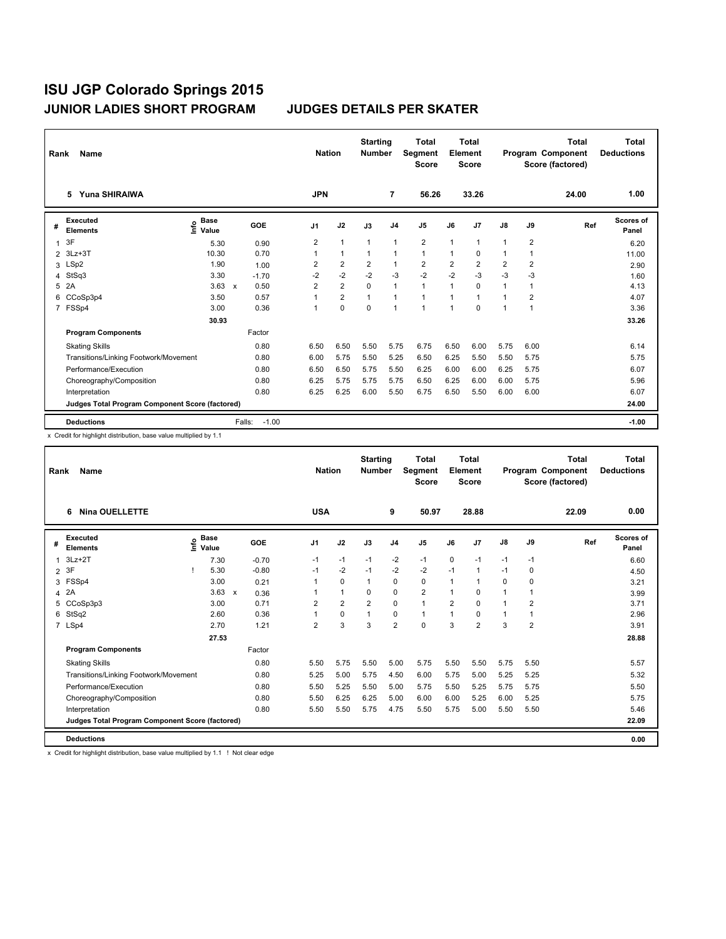| Rank           | Name                                            |                                             |                      |                | <b>Nation</b>  | <b>Starting</b><br><b>Number</b> |                | <b>Total</b><br>Segment<br><b>Score</b> |                | Total<br>Element<br><b>Score</b> |                |                | <b>Total</b><br>Program Component<br>Score (factored) | Total<br><b>Deductions</b> |
|----------------|-------------------------------------------------|---------------------------------------------|----------------------|----------------|----------------|----------------------------------|----------------|-----------------------------------------|----------------|----------------------------------|----------------|----------------|-------------------------------------------------------|----------------------------|
|                | 5 Yuna SHIRAIWA                                 |                                             |                      | <b>JPN</b>     |                |                                  | $\overline{7}$ | 56.26                                   |                | 33.26                            |                |                | 24.00                                                 | 1.00                       |
| #              | <b>Executed</b><br><b>Elements</b>              | <b>Base</b><br>은 <sup>Base</sup><br>트 Value | <b>GOE</b>           | J <sub>1</sub> | J2             | J3                               | J <sub>4</sub> | J <sub>5</sub>                          | J6             | J <sub>7</sub>                   | $\mathsf{J}8$  | J9             | Ref                                                   | Scores of<br>Panel         |
| $\mathbf{1}$   | 3F                                              | 5.30                                        | 0.90                 | 2              | $\mathbf{1}$   | $\mathbf{1}$                     | $\mathbf{1}$   | $\overline{2}$                          | 1              | $\mathbf{1}$                     | 1              | $\overline{2}$ |                                                       | 6.20                       |
| $\overline{2}$ | $3Lz + 3T$                                      | 10.30                                       | 0.70                 |                | $\mathbf{1}$   |                                  | $\mathbf 1$    | $\mathbf{1}$                            | 1              | $\Omega$                         | 1              | 1              |                                                       | 11.00                      |
| 3              | LSp2                                            | 1.90                                        | 1.00                 | 2              | $\overline{2}$ | $\overline{2}$                   | $\mathbf{1}$   | $\overline{2}$                          | $\overline{2}$ | $\overline{2}$                   | 2              | $\overline{2}$ |                                                       | 2.90                       |
| 4              | StSq3                                           | 3.30                                        | $-1.70$              | $-2$           | $-2$           | $-2$                             | $-3$           | $-2$                                    | $-2$           | $-3$                             | $-3$           | $-3$           |                                                       | 1.60                       |
| 5              | 2A                                              | 3.63                                        | 0.50<br>$\mathbf{x}$ | $\overline{2}$ | $\overline{2}$ | $\Omega$                         | $\overline{1}$ | $\mathbf{1}$                            | 1              | $\Omega$                         | 1              | 1              |                                                       | 4.13                       |
| 6              | CCoSp3p4                                        | 3.50                                        | 0.57                 |                | $\overline{2}$ | 1                                | $\mathbf{1}$   | $\mathbf{1}$                            | 1              | 1                                | $\overline{1}$ | 2              |                                                       | 4.07                       |
| $\overline{7}$ | FSSp4                                           | 3.00                                        | 0.36                 |                | $\mathbf 0$    | $\mathbf 0$                      | $\mathbf{1}$   | $\mathbf{1}$                            | 1              | 0                                | 1              | $\overline{1}$ |                                                       | 3.36                       |
|                |                                                 | 30.93                                       |                      |                |                |                                  |                |                                         |                |                                  |                |                |                                                       | 33.26                      |
|                | <b>Program Components</b>                       |                                             | Factor               |                |                |                                  |                |                                         |                |                                  |                |                |                                                       |                            |
|                | <b>Skating Skills</b>                           |                                             | 0.80                 | 6.50           | 6.50           | 5.50                             | 5.75           | 6.75                                    | 6.50           | 6.00                             | 5.75           | 6.00           |                                                       | 6.14                       |
|                | Transitions/Linking Footwork/Movement           |                                             | 0.80                 | 6.00           | 5.75           | 5.50                             | 5.25           | 6.50                                    | 6.25           | 5.50                             | 5.50           | 5.75           |                                                       | 5.75                       |
|                | Performance/Execution                           |                                             | 0.80                 | 6.50           | 6.50           | 5.75                             | 5.50           | 6.25                                    | 6.00           | 6.00                             | 6.25           | 5.75           |                                                       | 6.07                       |
|                | Choreography/Composition                        |                                             | 0.80                 | 6.25           | 5.75           | 5.75                             | 5.75           | 6.50                                    | 6.25           | 6.00                             | 6.00           | 5.75           |                                                       | 5.96                       |
|                | Interpretation                                  |                                             | 0.80                 | 6.25           | 6.25           | 6.00                             | 5.50           | 6.75                                    | 6.50           | 5.50                             | 6.00           | 6.00           |                                                       | 6.07                       |
|                | Judges Total Program Component Score (factored) |                                             |                      |                |                |                                  |                |                                         |                |                                  |                |                |                                                       | 24.00                      |
|                | <b>Deductions</b>                               |                                             | $-1.00$<br>Falls:    |                |                |                                  |                |                                         |                |                                  |                |                |                                                       | $-1.00$                    |

x Credit for highlight distribution, base value multiplied by 1.1

| Rank           | Name                                            |      |                      |                           |         |                | <b>Nation</b>  | <b>Starting</b><br><b>Number</b> |                | <b>Total</b><br>Segment<br><b>Score</b> |                | <b>Total</b><br>Element<br><b>Score</b> |               |                | <b>Total</b><br>Program Component<br>Score (factored) | Total<br><b>Deductions</b> |
|----------------|-------------------------------------------------|------|----------------------|---------------------------|---------|----------------|----------------|----------------------------------|----------------|-----------------------------------------|----------------|-----------------------------------------|---------------|----------------|-------------------------------------------------------|----------------------------|
|                | <b>Nina OUELLETTE</b><br>6                      |      |                      |                           |         | <b>USA</b>     |                |                                  | 9              | 50.97                                   |                | 28.88                                   |               |                | 22.09                                                 | 0.00                       |
| #              | <b>Executed</b><br><b>Elements</b>              | lnfo | <b>Base</b><br>Value |                           | GOE     | J <sub>1</sub> | J2             | J3                               | J <sub>4</sub> | J <sub>5</sub>                          | J6             | J7                                      | $\mathsf{J}8$ | J9             | Ref                                                   | <b>Scores of</b><br>Panel  |
| 1              | $3Lz + 2T$                                      |      | 7.30                 |                           | $-0.70$ | $-1$           | $-1$           | $-1$                             | $-2$           | $-1$                                    | 0              | $-1$                                    | $-1$          | $-1$           |                                                       | 6.60                       |
| $\overline{2}$ | 3F                                              |      | 5.30                 |                           | $-0.80$ | $-1$           | $-2$           | $-1$                             | $-2$           | $-2$                                    | $-1$           | $\mathbf{1}$                            | $-1$          | 0              |                                                       | 4.50                       |
| 3              | FSSp4                                           |      | 3.00                 |                           | 0.21    | 1              | $\mathbf 0$    | 1                                | 0              | 0                                       | 1              | $\mathbf{1}$                            | 0             | 0              |                                                       | 3.21                       |
| 4              | 2A                                              |      | 3.63                 | $\boldsymbol{\mathsf{x}}$ | 0.36    |                | $\mathbf{1}$   | 0                                | 0              | $\overline{2}$                          | 1              | 0                                       | $\mathbf{1}$  | 1              |                                                       | 3.99                       |
| 5              | CCoSp3p3                                        |      | 3.00                 |                           | 0.71    | $\overline{2}$ | $\overline{2}$ | $\overline{2}$                   | $\Omega$       | $\mathbf{1}$                            | $\overline{2}$ | $\Omega$                                | $\mathbf{1}$  | $\overline{2}$ |                                                       | 3.71                       |
| 6              | StSq2                                           |      | 2.60                 |                           | 0.36    |                | 0              | $\mathbf{1}$                     | $\pmb{0}$      | $\mathbf{1}$                            | 1              | 0                                       | $\mathbf{1}$  | 1              |                                                       | 2.96                       |
|                | 7 LSp4                                          |      | 2.70                 |                           | 1.21    | $\overline{2}$ | 3              | 3                                | $\overline{2}$ | $\Omega$                                | 3              | $\overline{2}$                          | 3             | $\overline{2}$ |                                                       | 3.91                       |
|                |                                                 |      | 27.53                |                           |         |                |                |                                  |                |                                         |                |                                         |               |                |                                                       | 28.88                      |
|                | <b>Program Components</b>                       |      |                      |                           | Factor  |                |                |                                  |                |                                         |                |                                         |               |                |                                                       |                            |
|                | <b>Skating Skills</b>                           |      |                      |                           | 0.80    | 5.50           | 5.75           | 5.50                             | 5.00           | 5.75                                    | 5.50           | 5.50                                    | 5.75          | 5.50           |                                                       | 5.57                       |
|                | Transitions/Linking Footwork/Movement           |      |                      |                           | 0.80    | 5.25           | 5.00           | 5.75                             | 4.50           | 6.00                                    | 5.75           | 5.00                                    | 5.25          | 5.25           |                                                       | 5.32                       |
|                | Performance/Execution                           |      |                      |                           | 0.80    | 5.50           | 5.25           | 5.50                             | 5.00           | 5.75                                    | 5.50           | 5.25                                    | 5.75          | 5.75           |                                                       | 5.50                       |
|                | Choreography/Composition                        |      |                      |                           | 0.80    | 5.50           | 6.25           | 6.25                             | 5.00           | 6.00                                    | 6.00           | 5.25                                    | 6.00          | 5.25           |                                                       | 5.75                       |
|                | Interpretation                                  |      |                      |                           | 0.80    | 5.50           | 5.50           | 5.75                             | 4.75           | 5.50                                    | 5.75           | 5.00                                    | 5.50          | 5.50           |                                                       | 5.46                       |
|                | Judges Total Program Component Score (factored) |      |                      |                           |         |                |                |                                  |                |                                         |                |                                         |               |                |                                                       | 22.09                      |
|                | <b>Deductions</b>                               |      |                      |                           |         |                |                |                                  |                |                                         |                |                                         |               |                |                                                       | 0.00                       |

x Credit for highlight distribution, base value multiplied by 1.1 ! Not clear edge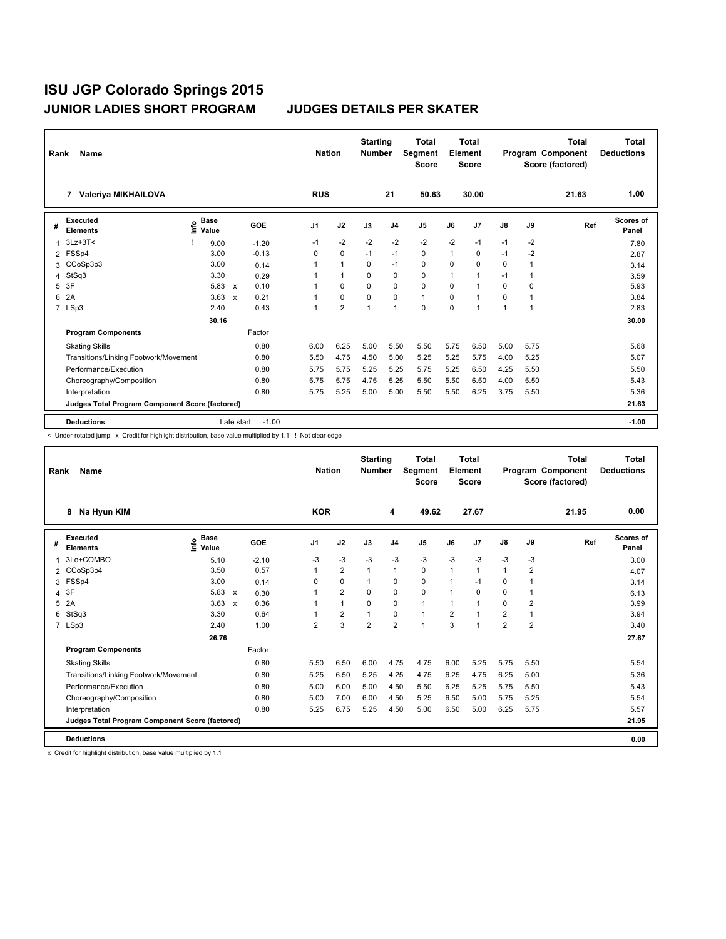| Rank           | Name                                            |                              |                           |            | <b>Nation</b> |                | <b>Starting</b><br><b>Number</b> |                | <b>Total</b><br>Segment<br><b>Score</b> |          | <b>Total</b><br>Element<br><b>Score</b> |               |                | <b>Total</b><br>Program Component<br>Score (factored) | Total<br><b>Deductions</b> |
|----------------|-------------------------------------------------|------------------------------|---------------------------|------------|---------------|----------------|----------------------------------|----------------|-----------------------------------------|----------|-----------------------------------------|---------------|----------------|-------------------------------------------------------|----------------------------|
|                | Valeriya MIKHAILOVA<br>7                        |                              |                           |            | <b>RUS</b>    |                |                                  | 21             | 50.63                                   |          | 30.00                                   |               |                | 21.63                                                 | 1.00                       |
| #              | Executed<br><b>Elements</b>                     | <b>Base</b><br>lnfo<br>Value |                           | <b>GOE</b> | J1            | J2             | J3                               | J <sub>4</sub> | J5                                      | J6       | J <sub>7</sub>                          | $\mathsf{J}8$ | J9             | Ref                                                   | Scores of<br>Panel         |
| $\mathbf{1}$   | $3Lz + 3T <$                                    | 9.00                         |                           | $-1.20$    | $-1$          | $-2$           | $-2$                             | $-2$           | $-2$                                    | $-2$     | $-1$                                    | $-1$          | $-2$           |                                                       | 7.80                       |
|                | 2 FSSp4                                         | 3.00                         |                           | $-0.13$    | 0             | $\mathbf 0$    | $-1$                             | $-1$           | 0                                       | 1        | 0                                       | $-1$          | $-2$           |                                                       | 2.87                       |
| 3              | CCoSp3p3                                        | 3.00                         |                           | 0.14       |               | $\mathbf{1}$   | $\Omega$                         | $-1$           | 0                                       | $\Omega$ | $\Omega$                                | 0             | 1              |                                                       | 3.14                       |
| 4              | StSq3                                           | 3.30                         |                           | 0.29       |               | $\mathbf{1}$   | $\mathbf 0$                      | $\mathbf 0$    | 0                                       | 1        | $\overline{1}$                          | $-1$          | 1              |                                                       | 3.59                       |
| 5              | 3F                                              | 5.83                         | $\boldsymbol{\mathsf{x}}$ | 0.10       |               | $\Omega$       | $\Omega$                         | $\mathbf 0$    | 0                                       | $\Omega$ | -1                                      | $\Omega$      | $\Omega$       |                                                       | 5.93                       |
| 6              | 2A                                              | 3.63                         | $\boldsymbol{\mathsf{x}}$ | 0.21       |               | $\mathbf 0$    | $\Omega$                         | $\mathbf 0$    | 1                                       | $\Omega$ | $\overline{1}$                          | 0             | $\overline{1}$ |                                                       | 3.84                       |
| $\overline{7}$ | LSp3                                            | 2.40                         |                           | 0.43       |               | $\overline{2}$ | $\mathbf{1}$                     | $\mathbf{1}$   | 0                                       | 0        | 1                                       | 1             |                |                                                       | 2.83                       |
|                |                                                 | 30.16                        |                           |            |               |                |                                  |                |                                         |          |                                         |               |                |                                                       | 30.00                      |
|                | <b>Program Components</b>                       |                              |                           | Factor     |               |                |                                  |                |                                         |          |                                         |               |                |                                                       |                            |
|                | <b>Skating Skills</b>                           |                              |                           | 0.80       | 6.00          | 6.25           | 5.00                             | 5.50           | 5.50                                    | 5.75     | 6.50                                    | 5.00          | 5.75           |                                                       | 5.68                       |
|                | Transitions/Linking Footwork/Movement           |                              |                           | 0.80       | 5.50          | 4.75           | 4.50                             | 5.00           | 5.25                                    | 5.25     | 5.75                                    | 4.00          | 5.25           |                                                       | 5.07                       |
|                | Performance/Execution                           |                              |                           | 0.80       | 5.75          | 5.75           | 5.25                             | 5.25           | 5.75                                    | 5.25     | 6.50                                    | 4.25          | 5.50           |                                                       | 5.50                       |
|                | Choreography/Composition                        |                              |                           | 0.80       | 5.75          | 5.75           | 4.75                             | 5.25           | 5.50                                    | 5.50     | 6.50                                    | 4.00          | 5.50           |                                                       | 5.43                       |
|                | Interpretation                                  |                              |                           | 0.80       | 5.75          | 5.25           | 5.00                             | 5.00           | 5.50                                    | 5.50     | 6.25                                    | 3.75          | 5.50           |                                                       | 5.36                       |
|                | Judges Total Program Component Score (factored) |                              |                           |            |               |                |                                  |                |                                         |          |                                         |               |                |                                                       | 21.63                      |
|                | <b>Deductions</b>                               |                              | Late start:               | $-1.00$    |               |                |                                  |                |                                         |          |                                         |               |                |                                                       | $-1.00$                    |

< Under-rotated jump x Credit for highlight distribution, base value multiplied by 1.1 ! Not clear edge

| Rank | Name                                                   |                              |              |         |          | <b>Nation</b> |                | <b>Starting</b><br><b>Number</b> |                | <b>Total</b><br>Segment<br><b>Score</b> |                | <b>Total</b><br>Element<br><b>Score</b> |                |                | <b>Total</b><br>Program Component<br>Score (factored) | Total<br><b>Deductions</b> |
|------|--------------------------------------------------------|------------------------------|--------------|---------|----------|---------------|----------------|----------------------------------|----------------|-----------------------------------------|----------------|-----------------------------------------|----------------|----------------|-------------------------------------------------------|----------------------------|
|      | Na Hyun KIM<br>8                                       |                              |              |         |          | <b>KOR</b>    |                |                                  | 4              | 49.62                                   |                | 27.67                                   |                |                | 21.95                                                 | 0.00                       |
| #    | Executed<br><b>Elements</b>                            | <b>Base</b><br>١nf٥<br>Value |              | GOE     | J1       |               | J2             | J3                               | J <sub>4</sub> | J <sub>5</sub>                          | J6             | J7                                      | J8             | J9             | Ref                                                   | <b>Scores of</b><br>Panel  |
| 1    | 3Lo+COMBO                                              | 5.10                         |              | $-2.10$ | $-3$     |               | $-3$           | $-3$                             | $-3$           | $-3$                                    | $-3$           | $-3$                                    | $-3$           | $-3$           |                                                       | 3.00                       |
|      | 2 CCoSp3p4                                             | 3.50                         |              | 0.57    | 1        |               | $\overline{2}$ | 1                                | 1              | 0                                       | $\mathbf{1}$   | $\overline{1}$                          | 1              | $\overline{2}$ |                                                       | 4.07                       |
|      | 3 FSSp4                                                | 3.00                         |              | 0.14    | $\Omega$ |               | $\mathbf 0$    | 1                                | 0              | 0                                       | 1              | $-1$                                    | 0              | 1              |                                                       | 3.14                       |
| 4    | 3F                                                     | $5.83 \times$                |              | 0.30    |          |               | $\overline{2}$ | $\Omega$                         | 0              | 0                                       | 1              | $\Omega$                                | 0              | 1              |                                                       | 6.13                       |
| 5    | 2A                                                     | 3.63                         | $\mathsf{x}$ | 0.36    |          |               | $\mathbf{1}$   | $\Omega$                         | $\mathbf 0$    | $\mathbf{1}$                            | $\mathbf{1}$   | $\overline{1}$                          | $\Omega$       | $\overline{2}$ |                                                       | 3.99                       |
| 6    | StSq3                                                  | 3.30                         |              | 0.64    |          |               | $\overline{2}$ | 1                                | 0              | $\mathbf{1}$                            | $\overline{2}$ | 1                                       | 2              | 1              |                                                       | 3.94                       |
|      | 7 LSp3                                                 | 2.40                         |              | 1.00    |          | 2             | 3              | 2                                | $\overline{2}$ | $\mathbf{1}$                            | 3              | $\overline{1}$                          | $\overline{2}$ | $\overline{2}$ |                                                       | 3.40                       |
|      |                                                        | 26.76                        |              |         |          |               |                |                                  |                |                                         |                |                                         |                |                |                                                       | 27.67                      |
|      | <b>Program Components</b>                              |                              |              | Factor  |          |               |                |                                  |                |                                         |                |                                         |                |                |                                                       |                            |
|      | <b>Skating Skills</b>                                  |                              |              | 0.80    |          | 5.50          | 6.50           | 6.00                             | 4.75           | 4.75                                    | 6.00           | 5.25                                    | 5.75           | 5.50           |                                                       | 5.54                       |
|      | Transitions/Linking Footwork/Movement                  |                              |              | 0.80    |          | 5.25          | 6.50           | 5.25                             | 4.25           | 4.75                                    | 6.25           | 4.75                                    | 6.25           | 5.00           |                                                       | 5.36                       |
|      | Performance/Execution                                  |                              |              | 0.80    |          | 5.00          | 6.00           | 5.00                             | 4.50           | 5.50                                    | 6.25           | 5.25                                    | 5.75           | 5.50           |                                                       | 5.43                       |
|      | Choreography/Composition                               |                              |              | 0.80    |          | 5.00          | 7.00           | 6.00                             | 4.50           | 5.25                                    | 6.50           | 5.00                                    | 5.75           | 5.25           |                                                       | 5.54                       |
|      | Interpretation                                         |                              |              | 0.80    |          | 5.25          | 6.75           | 5.25                             | 4.50           | 5.00                                    | 6.50           | 5.00                                    | 6.25           | 5.75           |                                                       | 5.57                       |
|      | <b>Judges Total Program Component Score (factored)</b> |                              |              |         |          |               |                |                                  |                |                                         |                |                                         |                |                |                                                       | 21.95                      |
|      | <b>Deductions</b>                                      |                              |              |         |          |               |                |                                  |                |                                         |                |                                         |                |                |                                                       | 0.00                       |

x Credit for highlight distribution, base value multiplied by 1.1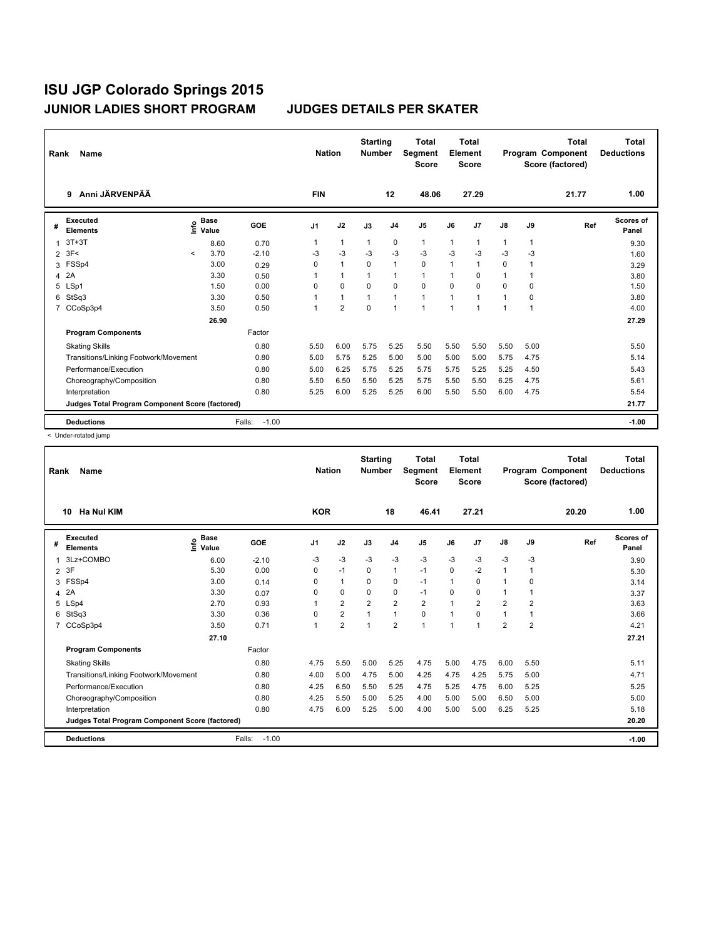| Rank           | Name                                            |         |                      |                   | <b>Nation</b>  |                | <b>Starting</b><br><b>Number</b> |                | <b>Total</b><br>Segment<br><b>Score</b> |          | <b>Total</b><br>Element<br><b>Score</b> |              |                | <b>Total</b><br>Program Component<br>Score (factored) | Total<br><b>Deductions</b> |
|----------------|-------------------------------------------------|---------|----------------------|-------------------|----------------|----------------|----------------------------------|----------------|-----------------------------------------|----------|-----------------------------------------|--------------|----------------|-------------------------------------------------------|----------------------------|
|                | Anni JÄRVENPÄÄ<br>9                             |         |                      |                   | <b>FIN</b>     |                |                                  | 12             | 48.06                                   |          | 27.29                                   |              |                | 21.77                                                 | 1.00                       |
| #              | <b>Executed</b><br><b>Elements</b>              | lnfo    | <b>Base</b><br>Value | <b>GOE</b>        | J <sub>1</sub> | J2             | J3                               | J <sub>4</sub> | J5                                      | J6       | J7                                      | J8           | J9             | Ref                                                   | <b>Scores of</b><br>Panel  |
| 1              | $3T+3T$                                         |         | 8.60                 | 0.70              |                | $\mathbf{1}$   | $\mathbf{1}$                     | $\mathbf 0$    | 1                                       | 1        | $\overline{1}$                          | $\mathbf{1}$ | 1              |                                                       | 9.30                       |
| $\overline{2}$ | 3F<                                             | $\prec$ | 3.70                 | $-2.10$           | $-3$           | $-3$           | $-3$                             | $-3$           | $-3$                                    | $-3$     | $-3$                                    | $-3$         | -3             |                                                       | 1.60                       |
| 3              | FSSp4                                           |         | 3.00                 | 0.29              | 0              | $\mathbf{1}$   | $\Omega$                         | $\mathbf{1}$   | 0                                       | 1        | $\overline{1}$                          | 0            |                |                                                       | 3.29                       |
| 4              | 2A                                              |         | 3.30                 | 0.50              |                | $\mathbf{1}$   | $\mathbf{1}$                     | $\mathbf{1}$   | 1                                       | 1        | $\Omega$                                | $\mathbf{1}$ | 1              |                                                       | 3.80                       |
| 5              | LSp1                                            |         | 1.50                 | 0.00              | $\Omega$       | $\mathbf 0$    | $\Omega$                         | $\Omega$       | 0                                       | $\Omega$ | $\Omega$                                | $\Omega$     | $\Omega$       |                                                       | 1.50                       |
| 6              | StSq3                                           |         | 3.30                 | 0.50              |                | $\mathbf{1}$   | $\mathbf{1}$                     | $\mathbf{1}$   | 1                                       | 1        | -1                                      | 1            | 0              |                                                       | 3.80                       |
| $\overline{7}$ | CCoSp3p4                                        |         | 3.50                 | 0.50              |                | $\overline{2}$ | $\Omega$                         | $\mathbf{1}$   | $\overline{1}$                          | 1        | 1                                       | 1            | $\overline{1}$ |                                                       | 4.00                       |
|                |                                                 |         | 26.90                |                   |                |                |                                  |                |                                         |          |                                         |              |                |                                                       | 27.29                      |
|                | <b>Program Components</b>                       |         |                      | Factor            |                |                |                                  |                |                                         |          |                                         |              |                |                                                       |                            |
|                | <b>Skating Skills</b>                           |         |                      | 0.80              | 5.50           | 6.00           | 5.75                             | 5.25           | 5.50                                    | 5.50     | 5.50                                    | 5.50         | 5.00           |                                                       | 5.50                       |
|                | Transitions/Linking Footwork/Movement           |         |                      | 0.80              | 5.00           | 5.75           | 5.25                             | 5.00           | 5.00                                    | 5.00     | 5.00                                    | 5.75         | 4.75           |                                                       | 5.14                       |
|                | Performance/Execution                           |         |                      | 0.80              | 5.00           | 6.25           | 5.75                             | 5.25           | 5.75                                    | 5.75     | 5.25                                    | 5.25         | 4.50           |                                                       | 5.43                       |
|                | Choreography/Composition                        |         |                      | 0.80              | 5.50           | 6.50           | 5.50                             | 5.25           | 5.75                                    | 5.50     | 5.50                                    | 6.25         | 4.75           |                                                       | 5.61                       |
|                | Interpretation                                  |         |                      | 0.80              | 5.25           | 6.00           | 5.25                             | 5.25           | 6.00                                    | 5.50     | 5.50                                    | 6.00         | 4.75           |                                                       | 5.54                       |
|                | Judges Total Program Component Score (factored) |         |                      |                   |                |                |                                  |                |                                         |          |                                         |              |                |                                                       | 21.77                      |
|                | <b>Deductions</b>                               |         |                      | $-1.00$<br>Falls: |                |                |                                  |                |                                         |          |                                         |              |                |                                                       | $-1.00$                    |

< Under-rotated jump

| Rank           | <b>Name</b>                                     |                              |                   | <b>Nation</b> |                | <b>Starting</b><br><b>Number</b> |                | <b>Total</b><br>Segment<br><b>Score</b> |              | <b>Total</b><br>Element<br><b>Score</b> |                |                | <b>Total</b><br>Program Component<br>Score (factored) | <b>Total</b><br><b>Deductions</b> |
|----------------|-------------------------------------------------|------------------------------|-------------------|---------------|----------------|----------------------------------|----------------|-----------------------------------------|--------------|-----------------------------------------|----------------|----------------|-------------------------------------------------------|-----------------------------------|
|                | <b>Ha Nul KIM</b><br>10                         |                              |                   | <b>KOR</b>    |                |                                  | 18             | 46.41                                   |              | 27.21                                   |                |                | 20.20                                                 | 1.00                              |
| #              | <b>Executed</b><br><b>Elements</b>              | <b>Base</b><br>lnfo<br>Value | <b>GOE</b>        | J1            | J2             | J3                               | J <sub>4</sub> | J <sub>5</sub>                          | J6           | J <sub>7</sub>                          | J8             | J9             | Ref                                                   | <b>Scores of</b><br>Panel         |
| 1              | 3Lz+COMBO                                       | 6.00                         | $-2.10$           | -3            | $-3$           | $-3$                             | $-3$           | $-3$                                    | $-3$         | $-3$                                    | $-3$           | $-3$           |                                                       | 3.90                              |
| 2              | 3F                                              | 5.30                         | 0.00              | 0             | $-1$           | 0                                | $\mathbf{1}$   | $-1$                                    | $\Omega$     | $-2$                                    | 1              |                |                                                       | 5.30                              |
| 3              | FSSp4                                           | 3.00                         | 0.14              | 0             | 1              | $\Omega$                         | 0              | $-1$                                    | 1            | $\Omega$                                | 1              | 0              |                                                       | 3.14                              |
| 4              | 2A                                              | 3.30                         | 0.07              | 0             | 0              | 0                                | 0              | $-1$                                    | $\Omega$     | 0                                       | 1              |                |                                                       | 3.37                              |
| 5              | LSp4                                            | 2.70                         | 0.93              |               | $\overline{2}$ | $\overline{2}$                   | $\overline{2}$ | $\overline{2}$                          | $\mathbf{1}$ | 2                                       | $\overline{2}$ | $\overline{2}$ |                                                       | 3.63                              |
| 6              | StSq3                                           | 3.30                         | 0.36              | 0             | $\overline{2}$ |                                  | 1              | 0                                       | $\mathbf{1}$ | 0                                       | 1              |                |                                                       | 3.66                              |
| $\overline{7}$ | CCoSp3p4                                        | 3.50                         | 0.71              |               | $\overline{2}$ | 1                                | $\overline{2}$ | $\overline{1}$                          | $\mathbf{1}$ | 4                                       | $\overline{2}$ | $\overline{2}$ |                                                       | 4.21                              |
|                |                                                 | 27.10                        |                   |               |                |                                  |                |                                         |              |                                         |                |                |                                                       | 27.21                             |
|                | <b>Program Components</b>                       |                              | Factor            |               |                |                                  |                |                                         |              |                                         |                |                |                                                       |                                   |
|                | <b>Skating Skills</b>                           |                              | 0.80              | 4.75          | 5.50           | 5.00                             | 5.25           | 4.75                                    | 5.00         | 4.75                                    | 6.00           | 5.50           |                                                       | 5.11                              |
|                | Transitions/Linking Footwork/Movement           |                              | 0.80              | 4.00          | 5.00           | 4.75                             | 5.00           | 4.25                                    | 4.75         | 4.25                                    | 5.75           | 5.00           |                                                       | 4.71                              |
|                | Performance/Execution                           |                              | 0.80              | 4.25          | 6.50           | 5.50                             | 5.25           | 4.75                                    | 5.25         | 4.75                                    | 6.00           | 5.25           |                                                       | 5.25                              |
|                | Choreography/Composition                        |                              | 0.80              | 4.25          | 5.50           | 5.00                             | 5.25           | 4.00                                    | 5.00         | 5.00                                    | 6.50           | 5.00           |                                                       | 5.00                              |
|                | Interpretation                                  |                              | 0.80              | 4.75          | 6.00           | 5.25                             | 5.00           | 4.00                                    | 5.00         | 5.00                                    | 6.25           | 5.25           |                                                       | 5.18                              |
|                | Judges Total Program Component Score (factored) |                              |                   |               |                |                                  |                |                                         |              |                                         |                |                |                                                       | 20.20                             |
|                | <b>Deductions</b>                               |                              | $-1.00$<br>Falls: |               |                |                                  |                |                                         |              |                                         |                |                |                                                       | $-1.00$                           |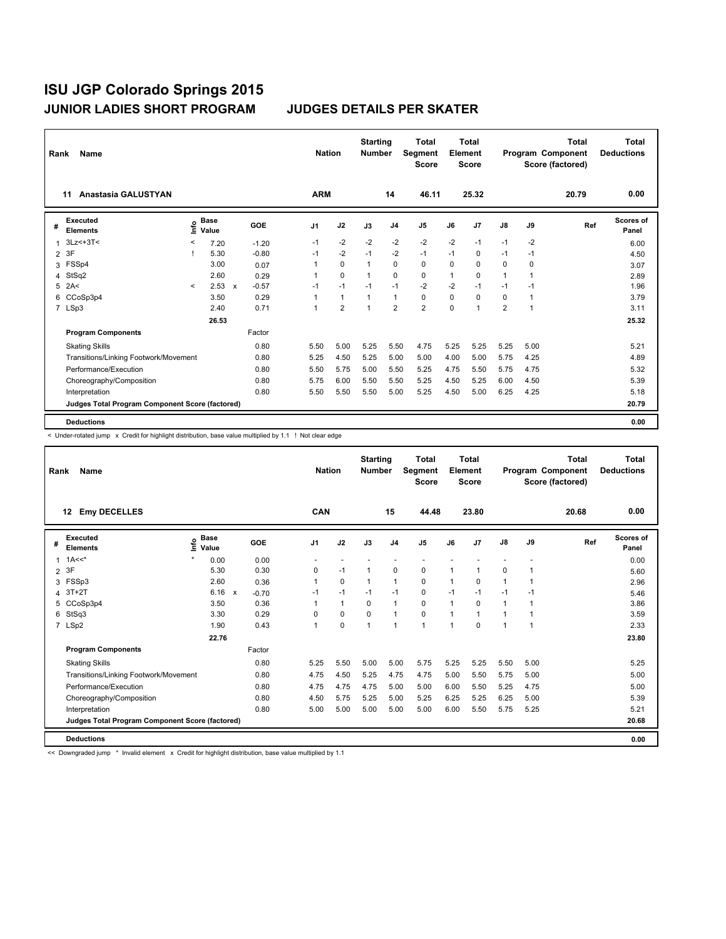| Rank           | Name                                            |         |                      |              |            |                | <b>Nation</b> |                | <b>Starting</b><br><b>Number</b> |                | <b>Total</b><br>Segment<br><b>Score</b> |          | Total<br>Element<br><b>Score</b> |                |                | <b>Total</b><br>Program Component<br>Score (factored) | Total<br><b>Deductions</b> |
|----------------|-------------------------------------------------|---------|----------------------|--------------|------------|----------------|---------------|----------------|----------------------------------|----------------|-----------------------------------------|----------|----------------------------------|----------------|----------------|-------------------------------------------------------|----------------------------|
|                | Anastasia GALUSTYAN<br>11                       |         |                      |              |            |                | <b>ARM</b>    |                |                                  | 14             | 46.11                                   |          | 25.32                            |                |                | 20.79                                                 | 0.00                       |
| #              | <b>Executed</b><br><b>Elements</b>              | ١nfo    | <b>Base</b><br>Value |              | <b>GOE</b> | J <sub>1</sub> |               | J2             | J3                               | J <sub>4</sub> | J <sub>5</sub>                          | J6       | J7                               | $\mathsf{J}8$  | J9             | Ref                                                   | Scores of<br>Panel         |
| 1              | $3Lz< +3T<$                                     | <       | 7.20                 |              | $-1.20$    | $-1$           |               | $-2$           | $-2$                             | $-2$           | $-2$                                    | $-2$     | $-1$                             | $-1$           | $-2$           |                                                       | 6.00                       |
| $\overline{2}$ | 3F                                              |         | 5.30                 |              | $-0.80$    | $-1$           |               | $-2$           | $-1$                             | $-2$           | $-1$                                    | $-1$     | 0                                | $-1$           | $-1$           |                                                       | 4.50                       |
| 3              | FSSp4                                           |         | 3.00                 |              | 0.07       |                |               | $\Omega$       | $\mathbf{1}$                     | $\Omega$       | 0                                       | $\Omega$ | $\Omega$                         | $\Omega$       | $\Omega$       |                                                       | 3.07                       |
| 4              | StSq2                                           |         | 2.60                 |              | 0.29       |                |               | $\mathbf 0$    | $\overline{1}$                   | $\Omega$       | 0                                       | 1        | $\Omega$                         | $\mathbf{1}$   | 1              |                                                       | 2.89                       |
| 5              | 2A<                                             | $\prec$ | 2.53                 | $\mathsf{x}$ | $-0.57$    | $-1$           |               | $-1$           | $-1$                             | $-1$           | $-2$                                    | $-2$     | $-1$                             | $-1$           | $-1$           |                                                       | 1.96                       |
| 6              | CCoSp3p4                                        |         | 3.50                 |              | 0.29       |                |               | $\mathbf{1}$   | $\mathbf{1}$                     | 1              | 0                                       | 0        | $\mathbf 0$                      | 0              | $\overline{1}$ |                                                       | 3.79                       |
|                | 7 LSp3                                          |         | 2.40                 |              | 0.71       |                |               | $\overline{2}$ | $\overline{1}$                   | $\overline{2}$ | $\overline{2}$                          | $\Omega$ | 1                                | $\overline{2}$ | 1              |                                                       | 3.11                       |
|                |                                                 |         | 26.53                |              |            |                |               |                |                                  |                |                                         |          |                                  |                |                |                                                       | 25.32                      |
|                | <b>Program Components</b>                       |         |                      |              | Factor     |                |               |                |                                  |                |                                         |          |                                  |                |                |                                                       |                            |
|                | <b>Skating Skills</b>                           |         |                      |              | 0.80       | 5.50           |               | 5.00           | 5.25                             | 5.50           | 4.75                                    | 5.25     | 5.25                             | 5.25           | 5.00           |                                                       | 5.21                       |
|                | Transitions/Linking Footwork/Movement           |         |                      |              | 0.80       | 5.25           |               | 4.50           | 5.25                             | 5.00           | 5.00                                    | 4.00     | 5.00                             | 5.75           | 4.25           |                                                       | 4.89                       |
|                | Performance/Execution                           |         |                      |              | 0.80       | 5.50           |               | 5.75           | 5.00                             | 5.50           | 5.25                                    | 4.75     | 5.50                             | 5.75           | 4.75           |                                                       | 5.32                       |
|                | Choreography/Composition                        |         |                      |              | 0.80       | 5.75           |               | 6.00           | 5.50                             | 5.50           | 5.25                                    | 4.50     | 5.25                             | 6.00           | 4.50           |                                                       | 5.39                       |
|                | Interpretation                                  |         |                      |              | 0.80       | 5.50           |               | 5.50           | 5.50                             | 5.00           | 5.25                                    | 4.50     | 5.00                             | 6.25           | 4.25           |                                                       | 5.18                       |
|                | Judges Total Program Component Score (factored) |         |                      |              |            |                |               |                |                                  |                |                                         |          |                                  |                |                |                                                       | 20.79                      |
|                | <b>Deductions</b>                               |         |                      |              |            |                |               |                |                                  |                |                                         |          |                                  |                |                |                                                       | 0.00                       |

< Under-rotated jump x Credit for highlight distribution, base value multiplied by 1.1 ! Not clear edge

| Rank           | Name                                            |                            |              |         |                | <b>Nation</b> |                | <b>Starting</b><br><b>Number</b> | <b>Total</b><br>Segment<br><b>Score</b> |              | <b>Total</b><br>Element<br><b>Score</b> |               |                | <b>Total</b><br>Program Component<br>Score (factored) | Total<br><b>Deductions</b> |
|----------------|-------------------------------------------------|----------------------------|--------------|---------|----------------|---------------|----------------|----------------------------------|-----------------------------------------|--------------|-----------------------------------------|---------------|----------------|-------------------------------------------------------|----------------------------|
|                | <b>Emy DECELLES</b><br>12                       |                            |              |         | <b>CAN</b>     |               |                | 15                               | 44.48                                   |              | 23.80                                   |               |                | 20.68                                                 | 0.00                       |
| #              | <b>Executed</b><br><b>Elements</b>              | <b>Base</b><br>۴è<br>Value |              | GOE     | J <sub>1</sub> | J2            | J3             | J <sub>4</sub>                   | J5                                      | J6           | J7                                      | $\mathsf{J}8$ | J9             | Ref                                                   | Scores of<br>Panel         |
| 1              | $1A<<^*$                                        | 0.00                       |              | 0.00    |                |               |                |                                  |                                         |              |                                         |               |                |                                                       | 0.00                       |
| $\overline{2}$ | 3F                                              | 5.30                       |              | 0.30    | 0              | $-1$          | $\mathbf 1$    | 0                                | 0                                       | 1            | 1                                       | 0             | $\overline{1}$ |                                                       | 5.60                       |
| 3              | FSSp3                                           | 2.60                       |              | 0.36    | 1              | 0             | 1              | $\mathbf{1}$                     | 0                                       | $\mathbf{1}$ | 0                                       | $\mathbf{1}$  | $\overline{1}$ |                                                       | 2.96                       |
| 4              | $3T+2T$                                         | 6.16                       | $\mathsf{x}$ | $-0.70$ | $-1$           | $-1$          | $-1$           | $-1$                             | 0                                       | $-1$         | $-1$                                    | $-1$          | $-1$           |                                                       | 5.46                       |
| 5              | CCoSp3p4                                        | 3.50                       |              | 0.36    |                | $\mathbf{1}$  | $\Omega$       | $\mathbf{1}$                     | 0                                       | 1            | $\Omega$                                | $\mathbf{1}$  | 1              |                                                       | 3.86                       |
| 6              | StSq3                                           | 3.30                       |              | 0.29    | $\mathbf 0$    | 0             | $\Omega$       | $\mathbf{1}$                     | 0                                       | 1            | 1                                       | 1             | 1              |                                                       | 3.59                       |
|                | 7 LSp2                                          | 1.90                       |              | 0.43    | 1              | $\mathbf 0$   | $\overline{1}$ | 1                                | 1                                       | 1            | $\Omega$                                | 1             | $\overline{1}$ |                                                       | 2.33                       |
|                |                                                 | 22.76                      |              |         |                |               |                |                                  |                                         |              |                                         |               |                |                                                       | 23.80                      |
|                | <b>Program Components</b>                       |                            |              | Factor  |                |               |                |                                  |                                         |              |                                         |               |                |                                                       |                            |
|                | <b>Skating Skills</b>                           |                            |              | 0.80    | 5.25           | 5.50          | 5.00           | 5.00                             | 5.75                                    | 5.25         | 5.25                                    | 5.50          | 5.00           |                                                       | 5.25                       |
|                | Transitions/Linking Footwork/Movement           |                            |              | 0.80    | 4.75           | 4.50          | 5.25           | 4.75                             | 4.75                                    | 5.00         | 5.50                                    | 5.75          | 5.00           |                                                       | 5.00                       |
|                | Performance/Execution                           |                            |              | 0.80    | 4.75           | 4.75          | 4.75           | 5.00                             | 5.00                                    | 6.00         | 5.50                                    | 5.25          | 4.75           |                                                       | 5.00                       |
|                | Choreography/Composition                        |                            |              | 0.80    | 4.50           | 5.75          | 5.25           | 5.00                             | 5.25                                    | 6.25         | 5.25                                    | 6.25          | 5.00           |                                                       | 5.39                       |
|                | Interpretation                                  |                            |              | 0.80    | 5.00           | 5.00          | 5.00           | 5.00                             | 5.00                                    | 6.00         | 5.50                                    | 5.75          | 5.25           |                                                       | 5.21                       |
|                | Judges Total Program Component Score (factored) |                            |              |         |                |               |                |                                  |                                         |              |                                         |               |                |                                                       | 20.68                      |
|                | <b>Deductions</b>                               |                            |              |         |                |               |                |                                  |                                         |              |                                         |               |                |                                                       | 0.00                       |

<< Downgraded jump \* Invalid element x Credit for highlight distribution, base value multiplied by 1.1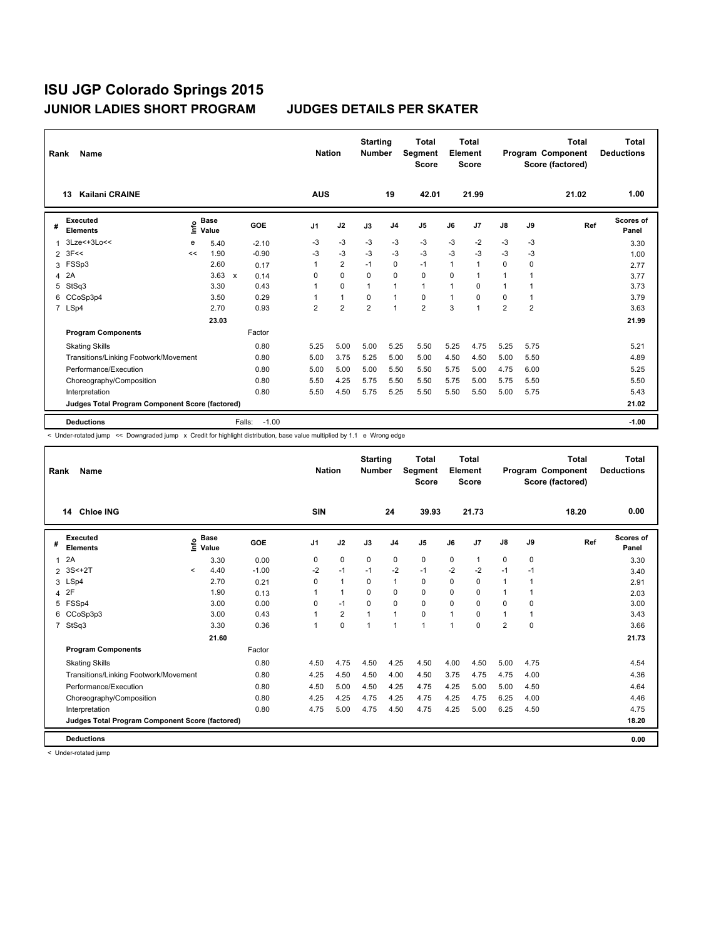| Rank           | Name                                            |      |                      |              |         | <b>Nation</b>  |                | <b>Starting</b><br><b>Number</b> |                | <b>Total</b><br>Segment<br><b>Score</b> |      | Total<br>Element<br><b>Score</b> |                |                | <b>Total</b><br>Program Component<br>Score (factored) | Total<br><b>Deductions</b> |
|----------------|-------------------------------------------------|------|----------------------|--------------|---------|----------------|----------------|----------------------------------|----------------|-----------------------------------------|------|----------------------------------|----------------|----------------|-------------------------------------------------------|----------------------------|
|                | Kailani CRAINE<br>13                            |      |                      |              |         | <b>AUS</b>     |                |                                  | 19             | 42.01                                   |      | 21.99                            |                |                | 21.02                                                 | 1.00                       |
| #              | Executed<br><b>Elements</b>                     | ١nfo | <b>Base</b><br>Value |              | GOE     | J <sub>1</sub> | J2             | J3                               | J <sub>4</sub> | J5                                      | J6   | J7                               | J8             | J9             | Ref                                                   | Scores of<br>Panel         |
| 1              | $3Lze<+3Lo<<$                                   | е    | 5.40                 |              | $-2.10$ | $-3$           | $-3$           | $-3$                             | $-3$           | $-3$                                    | $-3$ | $-2$                             | $-3$           | $-3$           |                                                       | 3.30                       |
| $\overline{2}$ | 3F<<                                            | <<   | 1.90                 |              | $-0.90$ | -3             | $-3$           | $-3$                             | $-3$           | $-3$                                    | $-3$ | $-3$                             | -3             | -3             |                                                       | 1.00                       |
| 3              | FSSp3                                           |      | 2.60                 |              | 0.17    |                | $\overline{2}$ | $-1$                             | $\mathbf 0$    | $-1$                                    | 1    | $\overline{1}$                   | 0              | 0              |                                                       | 2.77                       |
| 4              | 2A                                              |      | 3.63                 | $\mathsf{x}$ | 0.14    | 0              | $\Omega$       | $\Omega$                         | $\Omega$       | $\Omega$                                | 0    | -1                               | 1              |                |                                                       | 3.77                       |
| 5              | StSq3                                           |      | 3.30                 |              | 0.43    |                | $\mathbf 0$    | $\mathbf{1}$                     | $\mathbf{1}$   | $\mathbf{1}$                            | 1    | 0                                |                |                |                                                       | 3.73                       |
| 6              | CCoSp3p4                                        |      | 3.50                 |              | 0.29    |                | $\mathbf{1}$   | $\Omega$                         | $\mathbf{1}$   | 0                                       | 1    | $\Omega$                         | 0              | 1              |                                                       | 3.79                       |
|                | 7 LSp4                                          |      | 2.70                 |              | 0.93    | $\overline{2}$ | $\overline{2}$ | $\overline{2}$                   | $\overline{1}$ | $\overline{2}$                          | 3    | 1                                | $\overline{2}$ | $\overline{2}$ |                                                       | 3.63                       |
|                |                                                 |      | 23.03                |              |         |                |                |                                  |                |                                         |      |                                  |                |                |                                                       | 21.99                      |
|                | <b>Program Components</b>                       |      |                      |              | Factor  |                |                |                                  |                |                                         |      |                                  |                |                |                                                       |                            |
|                | <b>Skating Skills</b>                           |      |                      |              | 0.80    | 5.25           | 5.00           | 5.00                             | 5.25           | 5.50                                    | 5.25 | 4.75                             | 5.25           | 5.75           |                                                       | 5.21                       |
|                | Transitions/Linking Footwork/Movement           |      |                      |              | 0.80    | 5.00           | 3.75           | 5.25                             | 5.00           | 5.00                                    | 4.50 | 4.50                             | 5.00           | 5.50           |                                                       | 4.89                       |
|                | Performance/Execution                           |      |                      |              | 0.80    | 5.00           | 5.00           | 5.00                             | 5.50           | 5.50                                    | 5.75 | 5.00                             | 4.75           | 6.00           |                                                       | 5.25                       |
|                | Choreography/Composition                        |      |                      |              | 0.80    | 5.50           | 4.25           | 5.75                             | 5.50           | 5.50                                    | 5.75 | 5.00                             | 5.75           | 5.50           |                                                       | 5.50                       |
|                | Interpretation                                  |      |                      |              | 0.80    | 5.50           | 4.50           | 5.75                             | 5.25           | 5.50                                    | 5.50 | 5.50                             | 5.00           | 5.75           |                                                       | 5.43                       |
|                | Judges Total Program Component Score (factored) |      |                      |              |         |                |                |                                  |                |                                         |      |                                  |                |                |                                                       | 21.02                      |
|                | <b>Deductions</b>                               |      |                      | Falls:       | $-1.00$ |                |                |                                  |                |                                         |      |                                  |                |                |                                                       | $-1.00$                    |

< Under-rotated jump << Downgraded jump x Credit for highlight distribution, base value multiplied by 1.1 e Wrong edge

| Rank           | Name                                            |         |                      |         | <b>Nation</b>  |                | <b>Starting</b><br><b>Number</b> |                | <b>Total</b><br>Segment<br><b>Score</b> |              | <b>Total</b><br>Element<br><b>Score</b> |                |          | <b>Total</b><br>Program Component<br>Score (factored) | <b>Total</b><br><b>Deductions</b> |
|----------------|-------------------------------------------------|---------|----------------------|---------|----------------|----------------|----------------------------------|----------------|-----------------------------------------|--------------|-----------------------------------------|----------------|----------|-------------------------------------------------------|-----------------------------------|
|                | <b>Chloe ING</b><br>14                          |         |                      |         | <b>SIN</b>     |                |                                  | 24             | 39.93                                   |              | 21.73                                   |                |          | 18.20                                                 | 0.00                              |
| #              | Executed<br><b>Elements</b>                     | ١nfo    | <b>Base</b><br>Value | GOE     | J <sub>1</sub> | J2             | J3                               | J <sub>4</sub> | J <sub>5</sub>                          | J6           | J7                                      | $\mathsf{J}8$  | J9       | Ref                                                   | Scores of<br>Panel                |
| 1              | 2A                                              |         | 3.30                 | 0.00    | 0              | $\mathbf 0$    | 0                                | 0              | 0                                       | 0            | 1                                       | 0              | 0        |                                                       | 3.30                              |
| $\overline{2}$ | 3S<+2T                                          | $\prec$ | 4.40                 | $-1.00$ | $-2$           | $-1$           | $-1$                             | $-2$           | $-1$                                    | $-2$         | $-2$                                    | $-1$           | $-1$     |                                                       | 3.40                              |
| 3              | LSp4                                            |         | 2.70                 | 0.21    | 0              | $\mathbf{1}$   | 0                                | $\mathbf{1}$   | 0                                       | 0            | 0                                       | 1              |          |                                                       | 2.91                              |
| 4              | 2F                                              |         | 1.90                 | 0.13    |                | $\mathbf{1}$   | $\Omega$                         | 0              | $\Omega$                                | $\Omega$     | $\Omega$                                | 1              |          |                                                       | 2.03                              |
| 5              | FSSp4                                           |         | 3.00                 | 0.00    | 0              | $-1$           | $\Omega$                         | $\Omega$       | $\Omega$                                | $\Omega$     | $\Omega$                                | 0              | $\Omega$ |                                                       | 3.00                              |
| 6              | CCoSp3p3                                        |         | 3.00                 | 0.43    |                | $\overline{2}$ |                                  | $\overline{1}$ | $\mathbf 0$                             | 1            | 0                                       | 1              |          |                                                       | 3.43                              |
| $\overline{7}$ | StSq3                                           |         | 3.30                 | 0.36    |                | $\mathbf 0$    | 1                                | $\mathbf{1}$   | $\mathbf{1}$                            | $\mathbf{1}$ | 0                                       | $\overline{2}$ | 0        |                                                       | 3.66                              |
|                |                                                 |         | 21.60                |         |                |                |                                  |                |                                         |              |                                         |                |          |                                                       | 21.73                             |
|                | <b>Program Components</b>                       |         |                      | Factor  |                |                |                                  |                |                                         |              |                                         |                |          |                                                       |                                   |
|                | <b>Skating Skills</b>                           |         |                      | 0.80    | 4.50           | 4.75           | 4.50                             | 4.25           | 4.50                                    | 4.00         | 4.50                                    | 5.00           | 4.75     |                                                       | 4.54                              |
|                | Transitions/Linking Footwork/Movement           |         |                      | 0.80    | 4.25           | 4.50           | 4.50                             | 4.00           | 4.50                                    | 3.75         | 4.75                                    | 4.75           | 4.00     |                                                       | 4.36                              |
|                | Performance/Execution                           |         |                      | 0.80    | 4.50           | 5.00           | 4.50                             | 4.25           | 4.75                                    | 4.25         | 5.00                                    | 5.00           | 4.50     |                                                       | 4.64                              |
|                | Choreography/Composition                        |         |                      | 0.80    | 4.25           | 4.25           | 4.75                             | 4.25           | 4.75                                    | 4.25         | 4.75                                    | 6.25           | 4.00     |                                                       | 4.46                              |
|                | Interpretation                                  |         |                      | 0.80    | 4.75           | 5.00           | 4.75                             | 4.50           | 4.75                                    | 4.25         | 5.00                                    | 6.25           | 4.50     |                                                       | 4.75                              |
|                | Judges Total Program Component Score (factored) |         |                      |         |                |                |                                  |                |                                         |              |                                         |                |          |                                                       | 18.20                             |
|                | <b>Deductions</b>                               |         |                      |         |                |                |                                  |                |                                         |              |                                         |                |          |                                                       | 0.00                              |

< Under-rotated jump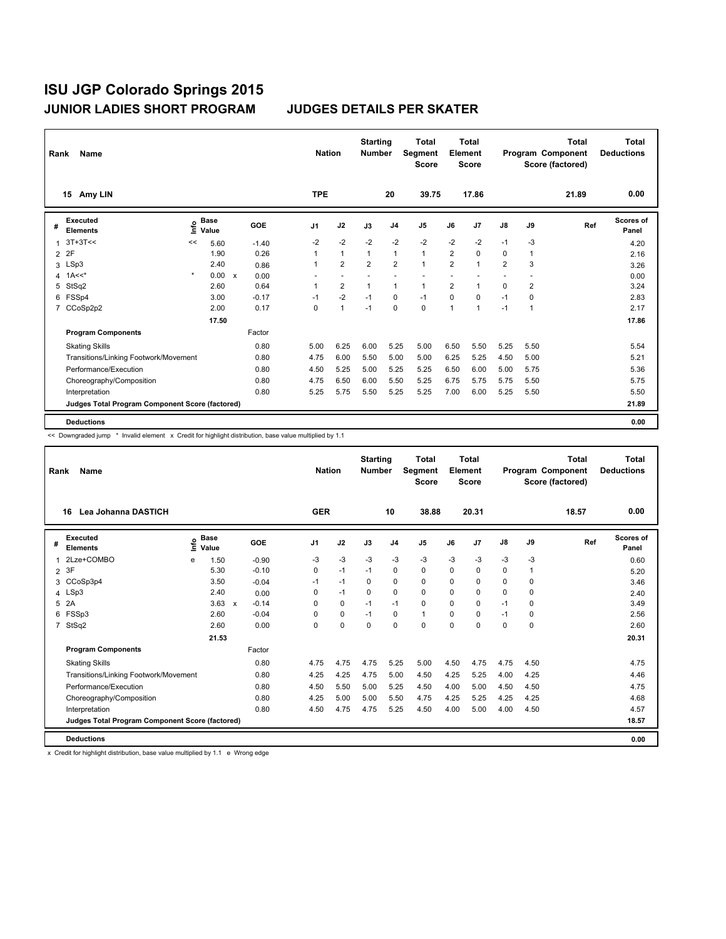| Rank           | Name                                            |         |                      |              |         |                | <b>Nation</b>  | <b>Starting</b><br><b>Number</b> |                | <b>Total</b><br>Segment<br><b>Score</b> |                | <b>Total</b><br>Element<br><b>Score</b> |                |                | <b>Total</b><br>Program Component<br>Score (factored) | <b>Total</b><br><b>Deductions</b> |
|----------------|-------------------------------------------------|---------|----------------------|--------------|---------|----------------|----------------|----------------------------------|----------------|-----------------------------------------|----------------|-----------------------------------------|----------------|----------------|-------------------------------------------------------|-----------------------------------|
|                | Amy LIN<br>15                                   |         |                      |              |         | <b>TPE</b>     |                |                                  | 20             | 39.75                                   |                | 17.86                                   |                |                | 21.89                                                 | 0.00                              |
| #              | <b>Executed</b><br><b>Elements</b>              | ١nfo    | <b>Base</b><br>Value |              | GOE     | J <sub>1</sub> | J2             | J3                               | J <sub>4</sub> | J <sub>5</sub>                          | J6             | J7                                      | J8             | J9             | Ref                                                   | <b>Scores of</b><br>Panel         |
| 1              | $3T+3T<<$                                       | <<      | 5.60                 |              | $-1.40$ | $-2$           | $-2$           | $-2$                             | $-2$           | $-2$                                    | $-2$           | $-2$                                    | $-1$           | $-3$           |                                                       | 4.20                              |
| $\overline{2}$ | 2F                                              |         | 1.90                 |              | 0.26    |                | $\mathbf{1}$   | $\mathbf{1}$                     | $\mathbf{1}$   | $\mathbf{1}$                            | $\overline{2}$ | $\mathbf 0$                             | 0              | $\mathbf{1}$   |                                                       | 2.16                              |
| 3              | LSp3                                            |         | 2.40                 |              | 0.86    | 1              | $\overline{2}$ | $\overline{2}$                   | $\overline{2}$ | $\mathbf{1}$                            | $\overline{2}$ | 1                                       | $\overline{2}$ | 3              |                                                       | 3.26                              |
| 4              | $1A<<$ *                                        | $\star$ | 0.00                 | $\mathsf{x}$ | 0.00    |                |                |                                  |                |                                         |                |                                         |                |                |                                                       | 0.00                              |
| 5              | StSq2                                           |         | 2.60                 |              | 0.64    |                | $\overline{2}$ | $\mathbf{1}$                     | $\mathbf{1}$   | $\mathbf{1}$                            | $\overline{2}$ | 1                                       | 0              | $\overline{2}$ |                                                       | 3.24                              |
| 6              | FSSp4                                           |         | 3.00                 |              | $-0.17$ | $-1$           | $-2$           | $-1$                             | 0              | $-1$                                    | 0              | 0                                       | $-1$           | 0              |                                                       | 2.83                              |
| $\overline{7}$ | CCoSp2p2                                        |         | 2.00                 |              | 0.17    | 0              | $\mathbf{1}$   | $-1$                             | $\mathbf 0$    | 0                                       | 1              | 1                                       | $-1$           | 1              |                                                       | 2.17                              |
|                |                                                 |         | 17.50                |              |         |                |                |                                  |                |                                         |                |                                         |                |                |                                                       | 17.86                             |
|                | <b>Program Components</b>                       |         |                      |              | Factor  |                |                |                                  |                |                                         |                |                                         |                |                |                                                       |                                   |
|                | <b>Skating Skills</b>                           |         |                      |              | 0.80    | 5.00           | 6.25           | 6.00                             | 5.25           | 5.00                                    | 6.50           | 5.50                                    | 5.25           | 5.50           |                                                       | 5.54                              |
|                | Transitions/Linking Footwork/Movement           |         |                      |              | 0.80    | 4.75           | 6.00           | 5.50                             | 5.00           | 5.00                                    | 6.25           | 5.25                                    | 4.50           | 5.00           |                                                       | 5.21                              |
|                | Performance/Execution                           |         |                      |              | 0.80    | 4.50           | 5.25           | 5.00                             | 5.25           | 5.25                                    | 6.50           | 6.00                                    | 5.00           | 5.75           |                                                       | 5.36                              |
|                | Choreography/Composition                        |         |                      |              | 0.80    | 4.75           | 6.50           | 6.00                             | 5.50           | 5.25                                    | 6.75           | 5.75                                    | 5.75           | 5.50           |                                                       | 5.75                              |
|                | Interpretation                                  |         |                      |              | 0.80    | 5.25           | 5.75           | 5.50                             | 5.25           | 5.25                                    | 7.00           | 6.00                                    | 5.25           | 5.50           |                                                       | 5.50                              |
|                | Judges Total Program Component Score (factored) |         |                      |              |         |                |                |                                  |                |                                         |                |                                         |                |                |                                                       | 21.89                             |
|                | <b>Deductions</b>                               |         |                      |              |         |                |                |                                  |                |                                         |                |                                         |                |                |                                                       | 0.00                              |

<< Downgraded jump \* Invalid element x Credit for highlight distribution, base value multiplied by 1.1

| Rank           | Name                                            |                            |         |                | <b>Nation</b> | <b>Starting</b><br><b>Number</b> |                | <b>Total</b><br><b>Segment</b><br><b>Score</b> |          | Total<br>Element<br><b>Score</b> |      |              | Total<br>Program Component<br>Score (factored) | <b>Total</b><br><b>Deductions</b> |
|----------------|-------------------------------------------------|----------------------------|---------|----------------|---------------|----------------------------------|----------------|------------------------------------------------|----------|----------------------------------|------|--------------|------------------------------------------------|-----------------------------------|
|                | Lea Johanna DASTICH<br>16                       |                            |         | <b>GER</b>     |               |                                  | 10             | 38.88                                          |          | 20.31                            |      |              | 18.57                                          | 0.00                              |
| #              | <b>Executed</b><br><b>Elements</b>              | <b>Base</b><br>۴ů<br>Value | GOE     | J <sub>1</sub> | J2            | J3                               | J <sub>4</sub> | J <sub>5</sub>                                 | J6       | J <sub>7</sub>                   | J8   | J9           | Ref                                            | Scores of<br>Panel                |
| 1              | 2Lze+COMBO                                      | 1.50<br>e                  | $-0.90$ | $-3$           | $-3$          | $-3$                             | $-3$           | $-3$                                           | $-3$     | $-3$                             | $-3$ | -3           |                                                | 0.60                              |
| $\overline{2}$ | 3F                                              | 5.30                       | $-0.10$ | 0              | $-1$          | $-1$                             | $\Omega$       | 0                                              | $\Omega$ | $\Omega$                         | 0    | $\mathbf{1}$ |                                                | 5.20                              |
| 3              | CCoSp3p4                                        | 3.50                       | $-0.04$ | $-1$           | $-1$          | 0                                | 0              | 0                                              | $\Omega$ | 0                                | 0    | 0            |                                                | 3.46                              |
|                | 4 LSp3                                          | 2.40                       | 0.00    | 0              | $-1$          | $\Omega$                         | $\Omega$       | $\Omega$                                       | 0        | $\Omega$                         | 0    | $\Omega$     |                                                | 2.40                              |
| 5.             | 2A                                              | $3.63 \times$              | $-0.14$ | <sup>0</sup>   | 0             | $-1$                             | $-1$           | 0                                              | $\Omega$ | $\Omega$                         | $-1$ | $\Omega$     |                                                | 3.49                              |
| 6              | FSSp3                                           | 2.60                       | $-0.04$ | 0              | 0             | $-1$                             | 0              | $\mathbf{1}$                                   | 0        | 0                                | $-1$ | 0            |                                                | 2.56                              |
|                | 7 StSq2                                         | 2.60                       | 0.00    | 0              | 0             | $\Omega$                         | $\Omega$       | $\Omega$                                       | 0        | $\Omega$                         | 0    | $\Omega$     |                                                | 2.60                              |
|                |                                                 | 21.53                      |         |                |               |                                  |                |                                                |          |                                  |      |              |                                                | 20.31                             |
|                | <b>Program Components</b>                       |                            | Factor  |                |               |                                  |                |                                                |          |                                  |      |              |                                                |                                   |
|                | <b>Skating Skills</b>                           |                            | 0.80    | 4.75           | 4.75          | 4.75                             | 5.25           | 5.00                                           | 4.50     | 4.75                             | 4.75 | 4.50         |                                                | 4.75                              |
|                | Transitions/Linking Footwork/Movement           |                            | 0.80    | 4.25           | 4.25          | 4.75                             | 5.00           | 4.50                                           | 4.25     | 5.25                             | 4.00 | 4.25         |                                                | 4.46                              |
|                | Performance/Execution                           |                            | 0.80    | 4.50           | 5.50          | 5.00                             | 5.25           | 4.50                                           | 4.00     | 5.00                             | 4.50 | 4.50         |                                                | 4.75                              |
|                | Choreography/Composition                        |                            | 0.80    | 4.25           | 5.00          | 5.00                             | 5.50           | 4.75                                           | 4.25     | 5.25                             | 4.25 | 4.25         |                                                | 4.68                              |
|                | Interpretation                                  |                            | 0.80    | 4.50           | 4.75          | 4.75                             | 5.25           | 4.50                                           | 4.00     | 5.00                             | 4.00 | 4.50         |                                                | 4.57                              |
|                | Judges Total Program Component Score (factored) |                            |         |                |               |                                  |                |                                                |          |                                  |      |              |                                                | 18.57                             |
|                | <b>Deductions</b>                               |                            |         |                |               |                                  |                |                                                |          |                                  |      |              |                                                | 0.00                              |

x Credit for highlight distribution, base value multiplied by 1.1 e Wrong edge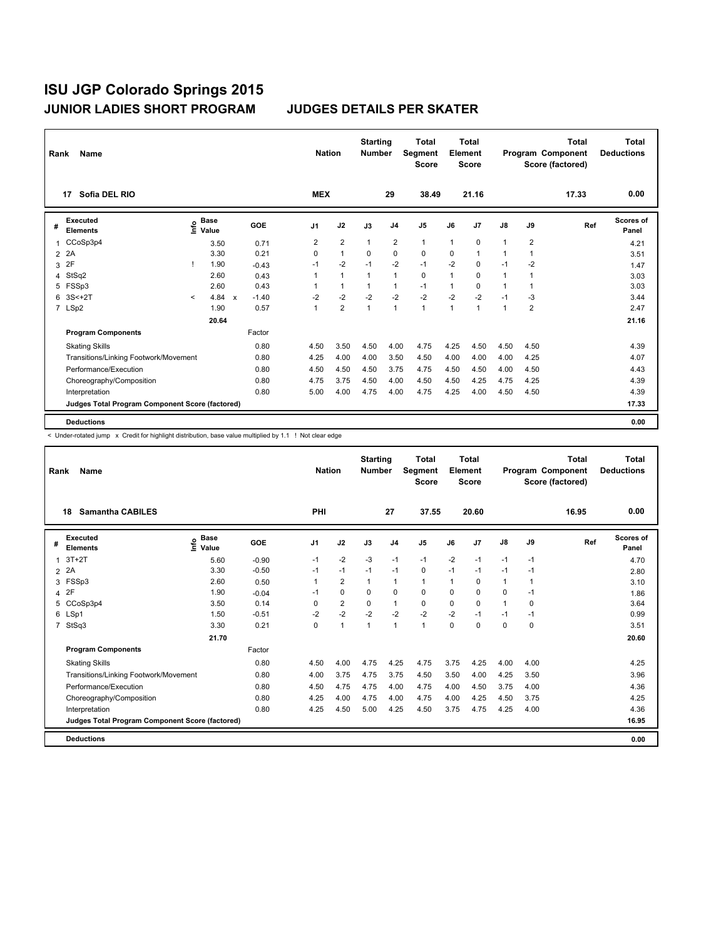| Rank           | Name                                                   |              |                                             |              |         |                | <b>Nation</b>  |              | <b>Starting</b><br><b>Number</b> | <b>Total</b><br>Segment<br><b>Score</b> |              | Total<br>Element<br><b>Score</b> |               |                | Total<br>Program Component<br>Score (factored) | Total<br><b>Deductions</b> |
|----------------|--------------------------------------------------------|--------------|---------------------------------------------|--------------|---------|----------------|----------------|--------------|----------------------------------|-----------------------------------------|--------------|----------------------------------|---------------|----------------|------------------------------------------------|----------------------------|
|                | Sofia DEL RIO<br>17                                    |              |                                             |              |         | <b>MEX</b>     |                |              | 29                               | 38.49                                   |              | 21.16                            |               |                | 17.33                                          | 0.00                       |
| #              | <b>Executed</b><br><b>Elements</b>                     |              | <b>Base</b><br>e <sup>Base</sup><br>⊆ Value |              | GOE     | J <sub>1</sub> | J2             | J3           | J <sub>4</sub>                   | J <sub>5</sub>                          | J6           | J7                               | $\mathsf{J}8$ | J9             | Ref                                            | Scores of<br>Panel         |
| $\mathbf{1}$   | CCoSp3p4                                               |              | 3.50                                        |              | 0.71    | $\overline{2}$ | $\overline{2}$ | $\mathbf{1}$ | $\overline{2}$                   | $\mathbf{1}$                            | $\mathbf{1}$ | $\mathbf 0$                      | 1             | $\overline{2}$ |                                                | 4.21                       |
| $\overline{2}$ | 2A                                                     |              | 3.30                                        |              | 0.21    | $\Omega$       | $\mathbf{1}$   | 0            | $\mathbf 0$                      | 0                                       | 0            | 1                                | 1             | $\overline{1}$ |                                                | 3.51                       |
| 3              | 2F                                                     | т            | 1.90                                        |              | $-0.43$ | $-1$           | $-2$           | $-1$         | $-2$                             | $-1$                                    | $-2$         | 0                                | $-1$          | $-2$           |                                                | 1.47                       |
| 4              | StSq2                                                  |              | 2.60                                        |              | 0.43    | $\mathbf{1}$   | $\mathbf{1}$   | 1            | $\mathbf{1}$                     | $\mathbf 0$                             | $\mathbf{1}$ | $\Omega$                         | 1             | 1              |                                                | 3.03                       |
|                | 5 FSSp3                                                |              | 2.60                                        |              | 0.43    |                | $\mathbf{1}$   |              | $\mathbf{1}$                     | $-1$                                    | 1            | $\Omega$                         | 1             | -1             |                                                | 3.03                       |
| 6              | $3S<+2T$                                               | $\checkmark$ | 4.84                                        | $\mathbf{x}$ | $-1.40$ | $-2$           | $-2$           | $-2$         | $-2$                             | $-2$                                    | $-2$         | $-2$                             | $-1$          | -3             |                                                | 3.44                       |
|                | 7 LSp2                                                 |              | 1.90                                        |              | 0.57    | 1              | $\overline{2}$ | $\mathbf{1}$ | $\mathbf{1}$                     | $\mathbf{1}$                            | 1            | 1                                | 1             | $\overline{2}$ |                                                | 2.47                       |
|                |                                                        |              | 20.64                                       |              |         |                |                |              |                                  |                                         |              |                                  |               |                |                                                | 21.16                      |
|                | <b>Program Components</b>                              |              |                                             |              | Factor  |                |                |              |                                  |                                         |              |                                  |               |                |                                                |                            |
|                | <b>Skating Skills</b>                                  |              |                                             |              | 0.80    | 4.50           | 3.50           | 4.50         | 4.00                             | 4.75                                    | 4.25         | 4.50                             | 4.50          | 4.50           |                                                | 4.39                       |
|                | Transitions/Linking Footwork/Movement                  |              |                                             |              | 0.80    | 4.25           | 4.00           | 4.00         | 3.50                             | 4.50                                    | 4.00         | 4.00                             | 4.00          | 4.25           |                                                | 4.07                       |
|                | Performance/Execution                                  |              |                                             |              | 0.80    | 4.50           | 4.50           | 4.50         | 3.75                             | 4.75                                    | 4.50         | 4.50                             | 4.00          | 4.50           |                                                | 4.43                       |
|                | Choreography/Composition                               |              |                                             |              | 0.80    | 4.75           | 3.75           | 4.50         | 4.00                             | 4.50                                    | 4.50         | 4.25                             | 4.75          | 4.25           |                                                | 4.39                       |
|                | Interpretation                                         |              |                                             |              | 0.80    | 5.00           | 4.00           | 4.75         | 4.00                             | 4.75                                    | 4.25         | 4.00                             | 4.50          | 4.50           |                                                | 4.39                       |
|                | <b>Judges Total Program Component Score (factored)</b> |              |                                             |              |         |                |                |              |                                  |                                         |              |                                  |               |                |                                                | 17.33                      |
|                | <b>Deductions</b>                                      |              |                                             |              |         |                |                |              |                                  |                                         |              |                                  |               |                |                                                | 0.00                       |

< Under-rotated jump x Credit for highlight distribution, base value multiplied by 1.1 ! Not clear edge

| Rank           | Name                                            |                              |         | <b>Nation</b> |                | <b>Starting</b><br><b>Number</b> |                | <b>Total</b><br>Segment<br><b>Score</b> | Element | Total<br><b>Score</b> |              |      | <b>Total</b><br>Program Component<br>Score (factored) | Total<br><b>Deductions</b> |
|----------------|-------------------------------------------------|------------------------------|---------|---------------|----------------|----------------------------------|----------------|-----------------------------------------|---------|-----------------------|--------------|------|-------------------------------------------------------|----------------------------|
|                | <b>Samantha CABILES</b><br>18                   |                              |         | PHI           |                |                                  | 27             | 37.55                                   |         | 20.60                 |              |      | 16.95                                                 | 0.00                       |
| #              | Executed<br><b>Elements</b>                     | <b>Base</b><br>١nfo<br>Value | GOE     | J1            | J2             | J3                               | J <sub>4</sub> | J5                                      | J6      | J7                    | J8           | J9   | Ref                                                   | Scores of<br>Panel         |
| 1              | $3T+2T$                                         | 5.60                         | $-0.90$ | $-1$          | $-2$           | $-3$                             | $-1$           | $-1$                                    | $-2$    | $-1$                  | $-1$         | $-1$ |                                                       | 4.70                       |
|                | 2 2A                                            | 3.30                         | $-0.50$ | $-1$          | $-1$           | $-1$                             | $-1$           | 0                                       | $-1$    | $-1$                  | $-1$         | $-1$ |                                                       | 2.80                       |
| 3              | FSSp3                                           | 2.60                         | 0.50    |               | $\overline{2}$ | 1                                | $\mathbf{1}$   | 1                                       | 1       | 0                     | $\mathbf{1}$ | 1    |                                                       | 3.10                       |
|                | 4 2F                                            | 1.90                         | $-0.04$ | $-1$          | 0              | $\Omega$                         | 0              | $\Omega$                                | 0       | 0                     | 0            | $-1$ |                                                       | 1.86                       |
| 5              | CCoSp3p4                                        | 3.50                         | 0.14    | 0             | $\overline{2}$ | $\mathbf 0$                      | $\mathbf{1}$   | $\mathbf 0$                             | 0       | 0                     | $\mathbf{1}$ | 0    |                                                       | 3.64                       |
| 6              | LSp1                                            | 1.50                         | $-0.51$ | $-2$          | $-2$           | $-2$                             | $-2$           | $-2$                                    | $-2$    | $-1$                  | $-1$         | $-1$ |                                                       | 0.99                       |
| $\overline{7}$ | StSq3                                           | 3.30                         | 0.21    | 0             | $\mathbf{1}$   | $\mathbf{1}$                     | $\mathbf{1}$   | 1                                       | 0       | 0                     | 0            | 0    |                                                       | 3.51                       |
|                |                                                 | 21.70                        |         |               |                |                                  |                |                                         |         |                       |              |      |                                                       | 20.60                      |
|                | <b>Program Components</b>                       |                              | Factor  |               |                |                                  |                |                                         |         |                       |              |      |                                                       |                            |
|                | <b>Skating Skills</b>                           |                              | 0.80    | 4.50          | 4.00           | 4.75                             | 4.25           | 4.75                                    | 3.75    | 4.25                  | 4.00         | 4.00 |                                                       | 4.25                       |
|                | Transitions/Linking Footwork/Movement           |                              | 0.80    | 4.00          | 3.75           | 4.75                             | 3.75           | 4.50                                    | 3.50    | 4.00                  | 4.25         | 3.50 |                                                       | 3.96                       |
|                | Performance/Execution                           |                              | 0.80    | 4.50          | 4.75           | 4.75                             | 4.00           | 4.75                                    | 4.00    | 4.50                  | 3.75         | 4.00 |                                                       | 4.36                       |
|                | Choreography/Composition                        |                              | 0.80    | 4.25          | 4.00           | 4.75                             | 4.00           | 4.75                                    | 4.00    | 4.25                  | 4.50         | 3.75 |                                                       | 4.25                       |
|                | Interpretation                                  |                              | 0.80    | 4.25          | 4.50           | 5.00                             | 4.25           | 4.50                                    | 3.75    | 4.75                  | 4.25         | 4.00 |                                                       | 4.36                       |
|                | Judges Total Program Component Score (factored) |                              |         |               |                |                                  |                |                                         |         |                       |              |      |                                                       | 16.95                      |
|                | <b>Deductions</b>                               |                              |         |               |                |                                  |                |                                         |         |                       |              |      |                                                       | 0.00                       |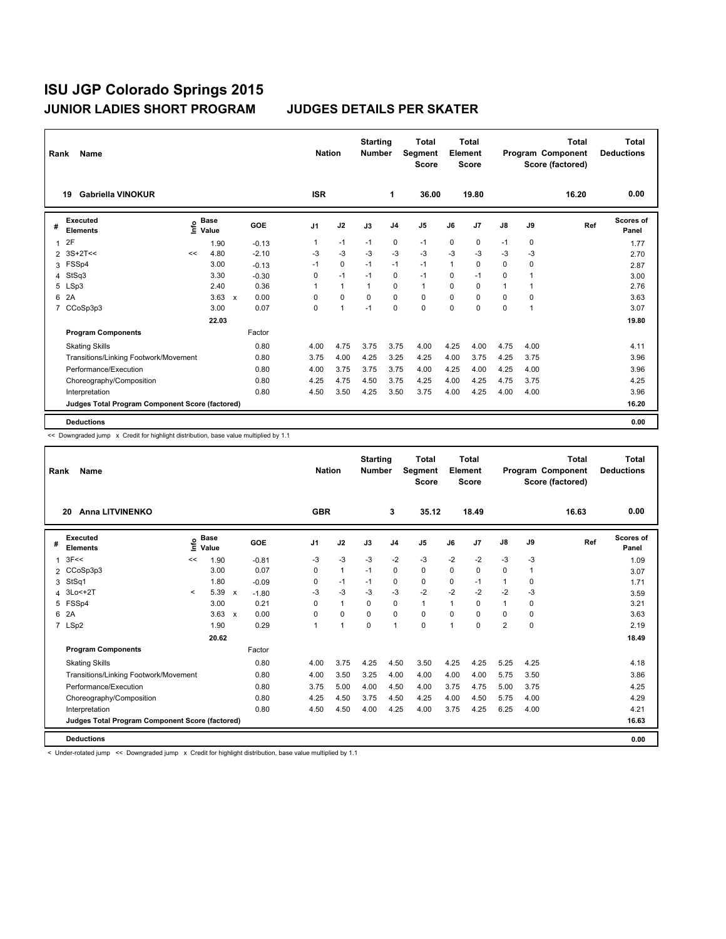| Rank           | Name                                            |      |                      |                           |            |                | <b>Nation</b> | <b>Starting</b><br><b>Number</b> |                | <b>Total</b><br>Segment<br><b>Score</b> |          | <b>Total</b><br>Element<br><b>Score</b> |      |                | <b>Total</b><br>Program Component<br>Score (factored) | <b>Total</b><br><b>Deductions</b> |
|----------------|-------------------------------------------------|------|----------------------|---------------------------|------------|----------------|---------------|----------------------------------|----------------|-----------------------------------------|----------|-----------------------------------------|------|----------------|-------------------------------------------------------|-----------------------------------|
|                | Gabriella VINOKUR<br>19                         |      |                      |                           |            | <b>ISR</b>     |               |                                  | 1              | 36.00                                   |          | 19.80                                   |      |                | 16.20                                                 | 0.00                              |
| #              | <b>Executed</b><br><b>Elements</b>              | lnfo | <b>Base</b><br>Value |                           | <b>GOE</b> | J <sub>1</sub> | J2            | J3                               | J <sub>4</sub> | J <sub>5</sub>                          | J6       | J7                                      | J8   | J9             | Ref                                                   | <b>Scores of</b><br>Panel         |
| 1              | 2F                                              |      | 1.90                 |                           | $-0.13$    | $\mathbf{1}$   | $-1$          | $-1$                             | $\mathbf 0$    | $-1$                                    | 0        | $\mathbf 0$                             | $-1$ | 0              |                                                       | 1.77                              |
| $\overline{2}$ | $3S+2T<<$                                       | <<   | 4.80                 |                           | $-2.10$    | -3             | $-3$          | $-3$                             | $-3$           | $-3$                                    | $-3$     | $-3$                                    | $-3$ | -3             |                                                       | 2.70                              |
| 3              | FSSp4                                           |      | 3.00                 |                           | $-0.13$    | $-1$           | $\mathbf 0$   | $-1$                             | $-1$           | $-1$                                    | 1        | 0                                       | 0    | 0              |                                                       | 2.87                              |
| 4              | StSq3                                           |      | 3.30                 |                           | $-0.30$    | 0              | $-1$          | $-1$                             | $\mathbf 0$    | $-1$                                    | $\Omega$ | $-1$                                    | 0    |                |                                                       | 3.00                              |
| 5              | LSp3                                            |      | 2.40                 |                           | 0.36       |                | $\mathbf{1}$  | $\mathbf{1}$                     | $\Omega$       | $\mathbf{1}$                            | 0        | $\Omega$                                | 1    | 1              |                                                       | 2.76                              |
| 6              | 2A                                              |      | 3.63                 | $\boldsymbol{\mathsf{x}}$ | 0.00       | 0              | $\mathbf 0$   | 0                                | $\mathbf 0$    | 0                                       | 0        | 0                                       | 0    | 0              |                                                       | 3.63                              |
| 7              | CCoSp3p3                                        |      | 3.00                 |                           | 0.07       | 0              | $\mathbf{1}$  | $-1$                             | $\mathbf 0$    | $\Omega$                                | 0        | 0                                       | 0    | $\overline{1}$ |                                                       | 3.07                              |
|                |                                                 |      | 22.03                |                           |            |                |               |                                  |                |                                         |          |                                         |      |                |                                                       | 19.80                             |
|                | <b>Program Components</b>                       |      |                      |                           | Factor     |                |               |                                  |                |                                         |          |                                         |      |                |                                                       |                                   |
|                | <b>Skating Skills</b>                           |      |                      |                           | 0.80       | 4.00           | 4.75          | 3.75                             | 3.75           | 4.00                                    | 4.25     | 4.00                                    | 4.75 | 4.00           |                                                       | 4.11                              |
|                | Transitions/Linking Footwork/Movement           |      |                      |                           | 0.80       | 3.75           | 4.00          | 4.25                             | 3.25           | 4.25                                    | 4.00     | 3.75                                    | 4.25 | 3.75           |                                                       | 3.96                              |
|                | Performance/Execution                           |      |                      |                           | 0.80       | 4.00           | 3.75          | 3.75                             | 3.75           | 4.00                                    | 4.25     | 4.00                                    | 4.25 | 4.00           |                                                       | 3.96                              |
|                | Choreography/Composition                        |      |                      |                           | 0.80       | 4.25           | 4.75          | 4.50                             | 3.75           | 4.25                                    | 4.00     | 4.25                                    | 4.75 | 3.75           |                                                       | 4.25                              |
|                | Interpretation                                  |      |                      |                           | 0.80       | 4.50           | 3.50          | 4.25                             | 3.50           | 3.75                                    | 4.00     | 4.25                                    | 4.00 | 4.00           |                                                       | 3.96                              |
|                | Judges Total Program Component Score (factored) |      |                      |                           |            |                |               |                                  |                |                                         |          |                                         |      |                |                                                       | 16.20                             |
|                | <b>Deductions</b>                               |      |                      |                           |            |                |               |                                  |                |                                         |          |                                         |      |                |                                                       | 0.00                              |

<< Downgraded jump x Credit for highlight distribution, base value multiplied by 1.1

| Rank           | <b>Name</b>                                     |          |                      |                           |            |                | <b>Nation</b> | <b>Starting</b><br><b>Number</b> |                | <b>Total</b><br>Segment<br><b>Score</b> |      | <b>Total</b><br>Element<br><b>Score</b> |                |              | <b>Total</b><br>Program Component<br>Score (factored) | Total<br><b>Deductions</b> |
|----------------|-------------------------------------------------|----------|----------------------|---------------------------|------------|----------------|---------------|----------------------------------|----------------|-----------------------------------------|------|-----------------------------------------|----------------|--------------|-------------------------------------------------------|----------------------------|
|                | <b>Anna LITVINENKO</b><br>20                    |          |                      |                           |            | <b>GBR</b>     |               |                                  | 3              | 35.12                                   |      | 18.49                                   |                |              | 16.63                                                 | 0.00                       |
| #              | <b>Executed</b><br><b>Elements</b>              | Life     | <b>Base</b><br>Value |                           | <b>GOE</b> | J1             | J2            | J3                               | J <sub>4</sub> | J5                                      | J6   | J7                                      | J8             | J9           | Ref                                                   | <b>Scores of</b><br>Panel  |
| $\overline{1}$ | 3F<<                                            | <<       | 1.90                 |                           | $-0.81$    | -3             | $-3$          | $-3$                             | $-2$           | $-3$                                    | $-2$ | $-2$                                    | $-3$           | $-3$         |                                                       | 1.09                       |
| 2              | CCoSp3p3                                        |          | 3.00                 |                           | 0.07       | 0              | $\mathbf{1}$  | $-1$                             | 0              | 0                                       | 0    | 0                                       | 0              | $\mathbf{1}$ |                                                       | 3.07                       |
| 3              | StSq1                                           |          | 1.80                 |                           | $-0.09$    | 0              | $-1$          | $-1$                             | 0              | 0                                       | 0    | $-1$                                    | 1              | $\Omega$     |                                                       | 1.71                       |
| 4              | 3Lo<+2T                                         | $\hat{}$ | 5.39                 | $\boldsymbol{\mathsf{x}}$ | $-1.80$    | -3             | $-3$          | -3                               | $-3$           | $-2$                                    | $-2$ | $-2$                                    | $-2$           | -3           |                                                       | 3.59                       |
| 5              | FSSp4                                           |          | 3.00                 |                           | 0.21       | 0              | $\mathbf{1}$  | $\Omega$                         | $\Omega$       | 1                                       | 1    | $\Omega$                                | $\mathbf{1}$   | $\Omega$     |                                                       | 3.21                       |
| 6              | 2A                                              |          | 3.63                 | $\mathsf{x}$              | 0.00       | 0              | 0             | 0                                | $\mathbf 0$    | 0                                       | 0    | 0                                       | 0              | 0            |                                                       | 3.63                       |
|                | 7 LSp2                                          |          | 1.90                 |                           | 0.29       | $\overline{ }$ | 1             | $\mathbf 0$                      | $\mathbf{1}$   | 0                                       | 1    | 0                                       | $\overline{2}$ | 0            |                                                       | 2.19                       |
|                |                                                 |          | 20.62                |                           |            |                |               |                                  |                |                                         |      |                                         |                |              |                                                       | 18.49                      |
|                | <b>Program Components</b>                       |          |                      |                           | Factor     |                |               |                                  |                |                                         |      |                                         |                |              |                                                       |                            |
|                | <b>Skating Skills</b>                           |          |                      |                           | 0.80       | 4.00           | 3.75          | 4.25                             | 4.50           | 3.50                                    | 4.25 | 4.25                                    | 5.25           | 4.25         |                                                       | 4.18                       |
|                | Transitions/Linking Footwork/Movement           |          |                      |                           | 0.80       | 4.00           | 3.50          | 3.25                             | 4.00           | 4.00                                    | 4.00 | 4.00                                    | 5.75           | 3.50         |                                                       | 3.86                       |
|                | Performance/Execution                           |          |                      |                           | 0.80       | 3.75           | 5.00          | 4.00                             | 4.50           | 4.00                                    | 3.75 | 4.75                                    | 5.00           | 3.75         |                                                       | 4.25                       |
|                | Choreography/Composition                        |          |                      |                           | 0.80       | 4.25           | 4.50          | 3.75                             | 4.50           | 4.25                                    | 4.00 | 4.50                                    | 5.75           | 4.00         |                                                       | 4.29                       |
|                | Interpretation                                  |          |                      |                           | 0.80       | 4.50           | 4.50          | 4.00                             | 4.25           | 4.00                                    | 3.75 | 4.25                                    | 6.25           | 4.00         |                                                       | 4.21                       |
|                | Judges Total Program Component Score (factored) |          |                      |                           |            |                |               |                                  |                |                                         |      |                                         |                |              |                                                       | 16.63                      |
|                | <b>Deductions</b>                               |          |                      |                           |            |                |               |                                  |                |                                         |      |                                         |                |              |                                                       | 0.00                       |

< Under-rotated jump << Downgraded jump x Credit for highlight distribution, base value multiplied by 1.1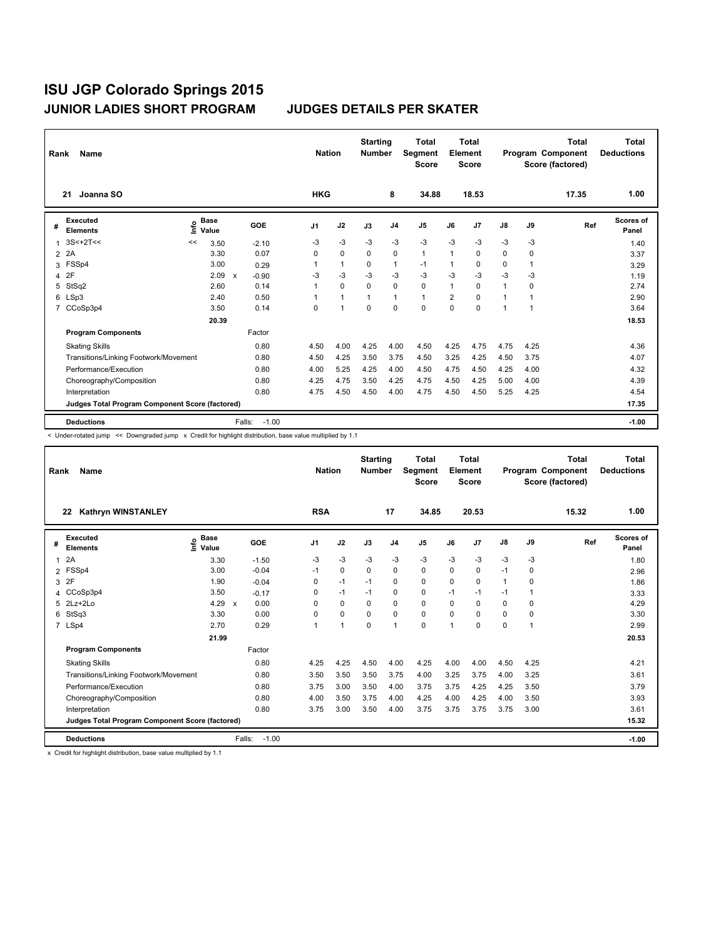| Rank           | Name                                            |      |                      |              |            | <b>Nation</b>  |              | <b>Starting</b><br><b>Number</b> |                | <b>Total</b><br>Segment<br><b>Score</b> |                | Total<br>Element<br><b>Score</b> |               |      | <b>Total</b><br>Program Component<br>Score (factored) | Total<br><b>Deductions</b> |
|----------------|-------------------------------------------------|------|----------------------|--------------|------------|----------------|--------------|----------------------------------|----------------|-----------------------------------------|----------------|----------------------------------|---------------|------|-------------------------------------------------------|----------------------------|
|                | Joanna SO<br>21                                 |      |                      |              |            | <b>HKG</b>     |              |                                  | 8              | 34.88                                   |                | 18.53                            |               |      | 17.35                                                 | 1.00                       |
| #              | Executed<br><b>Elements</b>                     | lnfo | <b>Base</b><br>Value |              | <b>GOE</b> | J <sub>1</sub> | J2           | J3                               | J <sub>4</sub> | J <sub>5</sub>                          | J6             | J <sub>7</sub>                   | $\mathsf{J}8$ | J9   | Ref                                                   | Scores of<br>Panel         |
| $\mathbf{1}$   | $3S<+2T<<$                                      | <<   | 3.50                 |              | $-2.10$    | -3             | $-3$         | $-3$                             | $-3$           | $-3$                                    | $-3$           | $-3$                             | $-3$          | -3   |                                                       | 1.40                       |
| $\overline{2}$ | 2A                                              |      | 3.30                 |              | 0.07       | 0              | 0            | 0                                | 0              | 1                                       | 1              | 0                                | 0             | 0    |                                                       | 3.37                       |
| 3              | FSSp4                                           |      | 3.00                 |              | 0.29       |                | $\mathbf{1}$ | 0                                | $\mathbf{1}$   | $-1$                                    | 1              | 0                                | 0             | 1    |                                                       | 3.29                       |
| 4              | 2F                                              |      | 2.09                 | $\mathsf{x}$ | $-0.90$    | $-3$           | $-3$         | -3                               | $-3$           | $-3$                                    | $-3$           | $-3$                             | $-3$          | $-3$ |                                                       | 1.19                       |
| 5              | StSq2                                           |      | 2.60                 |              | 0.14       |                | 0            | 0                                | 0              | 0                                       | 1              | 0                                | 1             | 0    |                                                       | 2.74                       |
| 6              | LSp3                                            |      | 2.40                 |              | 0.50       |                | $\mathbf{1}$ | 1                                | $\mathbf{1}$   | $\mathbf{1}$                            | $\overline{2}$ | $\Omega$                         | 1             | 1    |                                                       | 2.90                       |
| $\overline{7}$ | CCoSp3p4                                        |      | 3.50                 |              | 0.14       | 0              | 1            | $\Omega$                         | $\Omega$       | $\Omega$                                | 0              | 0                                | 1             | 1    |                                                       | 3.64                       |
|                |                                                 |      | 20.39                |              |            |                |              |                                  |                |                                         |                |                                  |               |      |                                                       | 18.53                      |
|                | <b>Program Components</b>                       |      |                      |              | Factor     |                |              |                                  |                |                                         |                |                                  |               |      |                                                       |                            |
|                | <b>Skating Skills</b>                           |      |                      |              | 0.80       | 4.50           | 4.00         | 4.25                             | 4.00           | 4.50                                    | 4.25           | 4.75                             | 4.75          | 4.25 |                                                       | 4.36                       |
|                | Transitions/Linking Footwork/Movement           |      |                      |              | 0.80       | 4.50           | 4.25         | 3.50                             | 3.75           | 4.50                                    | 3.25           | 4.25                             | 4.50          | 3.75 |                                                       | 4.07                       |
|                | Performance/Execution                           |      |                      |              | 0.80       | 4.00           | 5.25         | 4.25                             | 4.00           | 4.50                                    | 4.75           | 4.50                             | 4.25          | 4.00 |                                                       | 4.32                       |
|                | Choreography/Composition                        |      |                      |              | 0.80       | 4.25           | 4.75         | 3.50                             | 4.25           | 4.75                                    | 4.50           | 4.25                             | 5.00          | 4.00 |                                                       | 4.39                       |
|                | Interpretation                                  |      |                      |              | 0.80       | 4.75           | 4.50         | 4.50                             | 4.00           | 4.75                                    | 4.50           | 4.50                             | 5.25          | 4.25 |                                                       | 4.54                       |
|                | Judges Total Program Component Score (factored) |      |                      |              |            |                |              |                                  |                |                                         |                |                                  |               |      |                                                       | 17.35                      |
|                | <b>Deductions</b>                               |      |                      | Falls:       | $-1.00$    |                |              |                                  |                |                                         |                |                                  |               |      |                                                       | $-1.00$                    |

< Under-rotated jump << Downgraded jump x Credit for highlight distribution, base value multiplied by 1.1

| Rank           | Name                                            |                            | <b>Nation</b>        |             | <b>Starting</b><br><b>Number</b> |          | Total<br>Segment<br><b>Score</b> |                | Total<br>Element<br><b>Score</b> |                |               | <b>Total</b><br>Program Component<br>Score (factored) | <b>Total</b><br><b>Deductions</b> |                           |
|----------------|-------------------------------------------------|----------------------------|----------------------|-------------|----------------------------------|----------|----------------------------------|----------------|----------------------------------|----------------|---------------|-------------------------------------------------------|-----------------------------------|---------------------------|
|                | <b>Kathryn WINSTANLEY</b><br>22                 |                            |                      | <b>RSA</b>  |                                  |          | 17                               | 34.85          |                                  | 20.53          |               |                                                       | 15.32                             | 1.00                      |
| #              | <b>Executed</b><br><b>Elements</b>              | <b>Base</b><br>۴ů<br>Value | GOE                  | J1          | J2                               | J3       | J <sub>4</sub>                   | J <sub>5</sub> | J6                               | J <sub>7</sub> | $\mathsf{J}8$ | J9                                                    | Ref                               | <b>Scores of</b><br>Panel |
| 1              | 2A                                              | 3.30                       | $-1.50$              | $-3$        | $-3$                             | $-3$     | $-3$                             | $-3$           | $-3$                             | $-3$           | $-3$          | -3                                                    |                                   | 1.80                      |
| $\overline{2}$ | FSSp4                                           | 3.00                       | $-0.04$              | $-1$        | $\Omega$                         | $\Omega$ | $\Omega$                         | $\Omega$       | $\Omega$                         | $\Omega$       | $-1$          | $\Omega$                                              |                                   | 2.96                      |
| 3              | 2F                                              | 1.90                       | $-0.04$              | $\Omega$    | $-1$                             | $-1$     | 0                                | $\Omega$       | $\Omega$                         | 0              | 1             | $\Omega$                                              |                                   | 1.86                      |
| 4              | CCoSp3p4                                        | 3.50                       | $-0.17$              | 0           | $-1$                             | $-1$     | 0                                | 0              | $-1$                             | $-1$           | $-1$          | 1                                                     |                                   | 3.33                      |
| 5              | 2Lz+2Lo                                         | 4.29                       | 0.00<br>$\mathsf{x}$ | 0           | 0                                | 0        | $\mathbf 0$                      | 0              | $\Omega$                         | $\Omega$       | 0             | $\Omega$                                              |                                   | 4.29                      |
| 6              | StSq3                                           | 3.30                       | 0.00                 | $\mathbf 0$ | 0                                | $\Omega$ | 0                                | 0              | $\Omega$                         | $\Omega$       | 0             | $\Omega$                                              |                                   | 3.30                      |
|                | 7 LSp4                                          | 2.70                       | 0.29                 | 1           | $\mathbf{1}$                     | $\Omega$ | 1                                | 0              | 1                                | 0              | 0             | 1                                                     |                                   | 2.99                      |
|                |                                                 | 21.99                      |                      |             |                                  |          |                                  |                |                                  |                |               |                                                       |                                   | 20.53                     |
|                | <b>Program Components</b>                       |                            | Factor               |             |                                  |          |                                  |                |                                  |                |               |                                                       |                                   |                           |
|                | <b>Skating Skills</b>                           |                            | 0.80                 | 4.25        | 4.25                             | 4.50     | 4.00                             | 4.25           | 4.00                             | 4.00           | 4.50          | 4.25                                                  |                                   | 4.21                      |
|                | Transitions/Linking Footwork/Movement           |                            | 0.80                 | 3.50        | 3.50                             | 3.50     | 3.75                             | 4.00           | 3.25                             | 3.75           | 4.00          | 3.25                                                  |                                   | 3.61                      |
|                | Performance/Execution                           |                            | 0.80                 | 3.75        | 3.00                             | 3.50     | 4.00                             | 3.75           | 3.75                             | 4.25           | 4.25          | 3.50                                                  |                                   | 3.79                      |
|                | Choreography/Composition                        |                            | 0.80                 | 4.00        | 3.50                             | 3.75     | 4.00                             | 4.25           | 4.00                             | 4.25           | 4.00          | 3.50                                                  |                                   | 3.93                      |
|                | Interpretation                                  |                            | 0.80                 | 3.75        | 3.00                             | 3.50     | 4.00                             | 3.75           | 3.75                             | 3.75           | 3.75          | 3.00                                                  |                                   | 3.61                      |
|                | Judges Total Program Component Score (factored) |                            |                      |             |                                  |          |                                  |                |                                  |                |               |                                                       |                                   | 15.32                     |
|                | <b>Deductions</b>                               |                            | $-1.00$<br>Falls:    |             |                                  |          |                                  |                |                                  |                |               |                                                       |                                   | $-1.00$                   |

x Credit for highlight distribution, base value multiplied by 1.1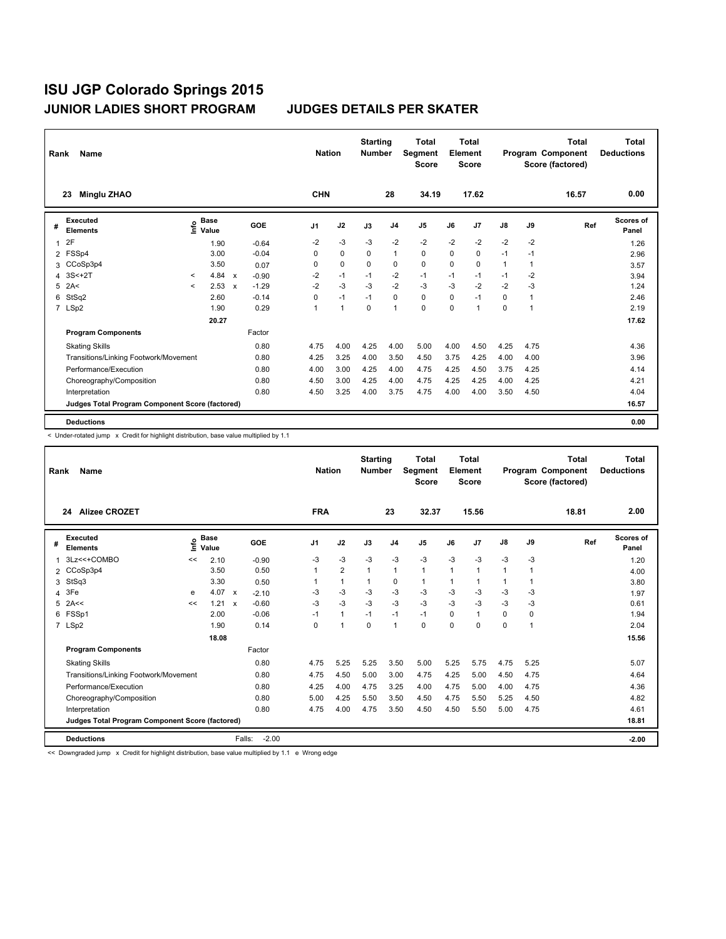| Rank           | Name                                            |              |                                             |              |            |                | <b>Nation</b> | <b>Starting</b><br><b>Number</b> |                | <b>Total</b><br>Segment<br><b>Score</b> |          | Total<br>Element<br><b>Score</b> |              |                | Total<br>Program Component<br>Score (factored) | Total<br><b>Deductions</b> |
|----------------|-------------------------------------------------|--------------|---------------------------------------------|--------------|------------|----------------|---------------|----------------------------------|----------------|-----------------------------------------|----------|----------------------------------|--------------|----------------|------------------------------------------------|----------------------------|
|                | <b>Minglu ZHAO</b><br>23                        |              |                                             |              |            | <b>CHN</b>     |               |                                  | 28             | 34.19                                   |          | 17.62                            |              |                | 16.57                                          | 0.00                       |
| #              | Executed<br><b>Elements</b>                     |              | <b>Base</b><br>e <sup>Base</sup><br>⊆ Value |              | <b>GOE</b> | J <sub>1</sub> | J2            | J3                               | J <sub>4</sub> | J5                                      | J6       | J7                               | J8           | J9             | Ref                                            | Scores of<br>Panel         |
| 1              | 2F                                              |              | 1.90                                        |              | $-0.64$    | -2             | $-3$          | $-3$                             | $-2$           | $-2$                                    | $-2$     | $-2$                             | $-2$         | $-2$           |                                                | 1.26                       |
| $\overline{2}$ | FSSp4                                           |              | 3.00                                        |              | $-0.04$    | 0              | $\mathbf 0$   | 0                                | $\mathbf{1}$   | 0                                       | 0        | $\mathbf 0$                      | $-1$         | $-1$           |                                                | 2.96                       |
| 3              | CCoSp3p4                                        |              | 3.50                                        |              | 0.07       | 0              | $\mathbf 0$   | 0                                | 0              | 0                                       | 0        | 0                                | $\mathbf{1}$ | 1              |                                                | 3.57                       |
| 4              | $3S<+2T$                                        | $\checkmark$ | 4.84                                        | $\mathsf{x}$ | $-0.90$    | $-2$           | $-1$          | $-1$                             | $-2$           | $-1$                                    | $-1$     | $-1$                             | $-1$         | $-2$           |                                                | 3.94                       |
| 5              | 2A<                                             | $\prec$      | 2.53                                        | $\mathsf{x}$ | $-1.29$    | $-2$           | $-3$          | $-3$                             | $-2$           | $-3$                                    | $-3$     | $-2$                             | $-2$         | $-3$           |                                                | 1.24                       |
| 6              | StSq2                                           |              | 2.60                                        |              | $-0.14$    | 0              | $-1$          | $-1$                             | $\pmb{0}$      | 0                                       | 0        | $-1$                             | 0            | $\overline{1}$ |                                                | 2.46                       |
|                | 7 LSp2                                          |              | 1.90                                        |              | 0.29       | $\overline{1}$ | $\mathbf{1}$  | $\Omega$                         | $\mathbf{1}$   | 0                                       | $\Omega$ | 1                                | 0            | 1              |                                                | 2.19                       |
|                |                                                 |              | 20.27                                       |              |            |                |               |                                  |                |                                         |          |                                  |              |                |                                                | 17.62                      |
|                | <b>Program Components</b>                       |              |                                             |              | Factor     |                |               |                                  |                |                                         |          |                                  |              |                |                                                |                            |
|                | <b>Skating Skills</b>                           |              |                                             |              | 0.80       | 4.75           | 4.00          | 4.25                             | 4.00           | 5.00                                    | 4.00     | 4.50                             | 4.25         | 4.75           |                                                | 4.36                       |
|                | Transitions/Linking Footwork/Movement           |              |                                             |              | 0.80       | 4.25           | 3.25          | 4.00                             | 3.50           | 4.50                                    | 3.75     | 4.25                             | 4.00         | 4.00           |                                                | 3.96                       |
|                | Performance/Execution                           |              |                                             |              | 0.80       | 4.00           | 3.00          | 4.25                             | 4.00           | 4.75                                    | 4.25     | 4.50                             | 3.75         | 4.25           |                                                | 4.14                       |
|                | Choreography/Composition                        |              |                                             |              | 0.80       | 4.50           | 3.00          | 4.25                             | 4.00           | 4.75                                    | 4.25     | 4.25                             | 4.00         | 4.25           |                                                | 4.21                       |
|                | Interpretation                                  |              |                                             |              | 0.80       | 4.50           | 3.25          | 4.00                             | 3.75           | 4.75                                    | 4.00     | 4.00                             | 3.50         | 4.50           |                                                | 4.04                       |
|                | Judges Total Program Component Score (factored) |              |                                             |              |            |                |               |                                  |                |                                         |          |                                  |              |                |                                                | 16.57                      |
|                | <b>Deductions</b>                               |              |                                             |              |            |                |               |                                  |                |                                         |          |                                  |              |                |                                                | 0.00                       |

< Under-rotated jump x Credit for highlight distribution, base value multiplied by 1.1

| Rank | Name                                            |      |                      |                           |                   | <b>Nation</b> |                | <b>Starting</b><br><b>Number</b> |                | Total<br>Segment<br><b>Score</b> |          | <b>Total</b><br>Element<br><b>Score</b> |          |                | Total<br>Program Component<br>Score (factored) | Total<br><b>Deductions</b> |
|------|-------------------------------------------------|------|----------------------|---------------------------|-------------------|---------------|----------------|----------------------------------|----------------|----------------------------------|----------|-----------------------------------------|----------|----------------|------------------------------------------------|----------------------------|
|      | <b>Alizee CROZET</b><br>24                      |      |                      |                           |                   | <b>FRA</b>    |                |                                  | 23             | 32.37                            |          | 15.56                                   |          |                | 18.81                                          | 2.00                       |
| #    | Executed<br><b>Elements</b>                     | Life | <b>Base</b><br>Value |                           | <b>GOE</b>        | J1            | J2             | J3                               | J <sub>4</sub> | J <sub>5</sub>                   | J6       | J <sub>7</sub>                          | J8       | J9             | Ref                                            | <b>Scores of</b><br>Panel  |
|      | 3Lz<<+COMBO                                     | <<   | 2.10                 |                           | $-0.90$           | -3            | $-3$           | $-3$                             | $-3$           | $-3$                             | $-3$     | $-3$                                    | $-3$     | -3             |                                                | 1.20                       |
| 2    | CCoSp3p4                                        |      | 3.50                 |                           | 0.50              |               | $\overline{2}$ | $\mathbf{1}$                     | $\mathbf{1}$   | 1                                | 1        | $\mathbf{1}$                            | 1        | 1              |                                                | 4.00                       |
| 3    | StSq3                                           |      | 3.30                 |                           | 0.50              |               | $\mathbf{1}$   | $\mathbf{1}$                     | 0              | 1                                | 1        | $\mathbf{1}$                            | 1        | 1              |                                                | 3.80                       |
| 4    | 3Fe                                             | e    | 4.07                 | $\boldsymbol{\mathsf{x}}$ | $-2.10$           | -3            | -3             | $-3$                             | -3             | $-3$                             | $-3$     | -3                                      | $-3$     | -3             |                                                | 1.97                       |
| 5    | 2A<<                                            | <<   | 1.21                 | $\mathsf{x}$              | $-0.60$           | $-3$          | $-3$           | $-3$                             | $-3$           | $-3$                             | $-3$     | $-3$                                    | $-3$     | $-3$           |                                                | 0.61                       |
| 6    | FSSp1                                           |      | 2.00                 |                           | $-0.06$           | $-1$          | $\mathbf{1}$   | $-1$                             | $-1$           | $-1$                             | $\Omega$ | $\mathbf{1}$                            | $\Omega$ | 0              |                                                | 1.94                       |
|      | 7 LSp2                                          |      | 1.90                 |                           | 0.14              | 0             | $\overline{1}$ | $\Omega$                         | $\mathbf{1}$   | 0                                | 0        | 0                                       | 0        | $\overline{1}$ |                                                | 2.04                       |
|      |                                                 |      | 18.08                |                           |                   |               |                |                                  |                |                                  |          |                                         |          |                |                                                | 15.56                      |
|      | <b>Program Components</b>                       |      |                      |                           | Factor            |               |                |                                  |                |                                  |          |                                         |          |                |                                                |                            |
|      | <b>Skating Skills</b>                           |      |                      |                           | 0.80              | 4.75          | 5.25           | 5.25                             | 3.50           | 5.00                             | 5.25     | 5.75                                    | 4.75     | 5.25           |                                                | 5.07                       |
|      | Transitions/Linking Footwork/Movement           |      |                      |                           | 0.80              | 4.75          | 4.50           | 5.00                             | 3.00           | 4.75                             | 4.25     | 5.00                                    | 4.50     | 4.75           |                                                | 4.64                       |
|      | Performance/Execution                           |      |                      |                           | 0.80              | 4.25          | 4.00           | 4.75                             | 3.25           | 4.00                             | 4.75     | 5.00                                    | 4.00     | 4.75           |                                                | 4.36                       |
|      | Choreography/Composition                        |      |                      |                           | 0.80              | 5.00          | 4.25           | 5.50                             | 3.50           | 4.50                             | 4.75     | 5.50                                    | 5.25     | 4.50           |                                                | 4.82                       |
|      | Interpretation                                  |      |                      |                           | 0.80              | 4.75          | 4.00           | 4.75                             | 3.50           | 4.50                             | 4.50     | 5.50                                    | 5.00     | 4.75           |                                                | 4.61                       |
|      | Judges Total Program Component Score (factored) |      |                      |                           |                   |               |                |                                  |                |                                  |          |                                         |          |                |                                                | 18.81                      |
|      | <b>Deductions</b>                               |      |                      |                           | $-2.00$<br>Falls: |               |                |                                  |                |                                  |          |                                         |          |                |                                                | $-2.00$                    |

<< Downgraded jump x Credit for highlight distribution, base value multiplied by 1.1 e Wrong edge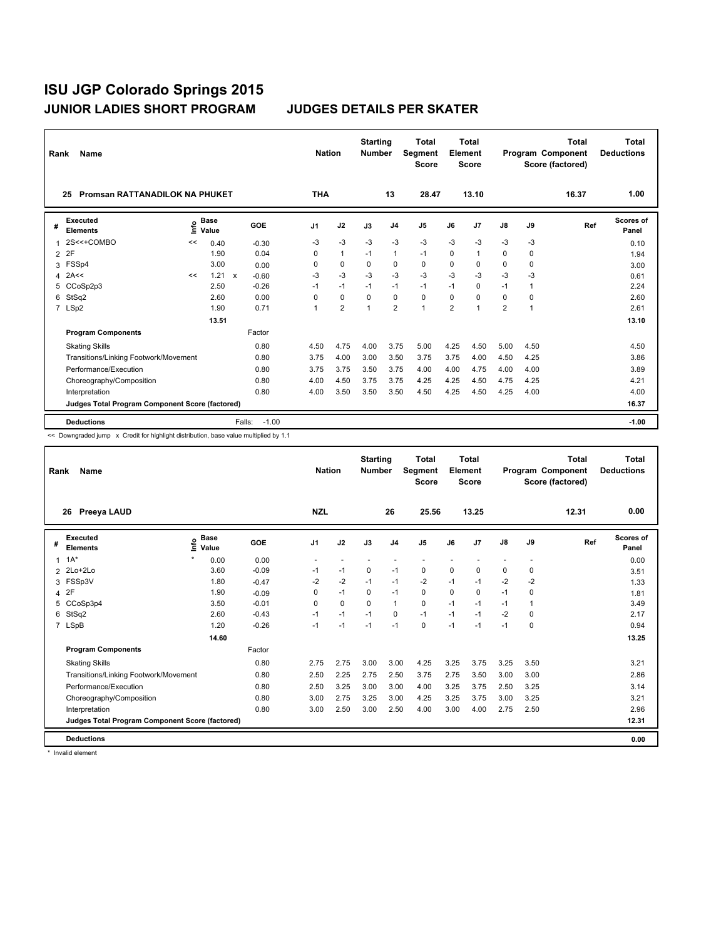| Rank           | Name                                                                                   | <b>Nation</b> |                      | <b>Starting</b><br><b>Number</b> |                | <b>Total</b><br>Segment<br><b>Score</b> | <b>Total</b><br><b>Element</b><br><b>Score</b> |                |              |                | <b>Total</b><br>Program Component<br>Score (factored) | <b>Total</b><br><b>Deductions</b> |          |       |                           |
|----------------|----------------------------------------------------------------------------------------|---------------|----------------------|----------------------------------|----------------|-----------------------------------------|------------------------------------------------|----------------|--------------|----------------|-------------------------------------------------------|-----------------------------------|----------|-------|---------------------------|
|                | <b>Promsan RATTANADILOK NA PHUKET</b><br>25                                            |               |                      |                                  | <b>THA</b>     |                                         |                                                | 13             | 28.47        |                | 13.10                                                 |                                   |          | 16.37 | 1.00                      |
| #              | <b>Executed</b><br><b>Elements</b>                                                     | ۴             | <b>Base</b><br>Value | GOE                              | J <sub>1</sub> | J2                                      | J3                                             | J <sub>4</sub> | J5           | J6             | J <sub>7</sub>                                        | $\mathsf{J}8$                     | J9       | Ref   | <b>Scores of</b><br>Panel |
|                | 2S<<+COMBO                                                                             | <<            | 0.40                 | $-0.30$                          | -3             | $-3$                                    | -3                                             | $-3$           | -3           | $-3$           | -3                                                    | -3                                | -3       |       | 0.10                      |
| $\overline{2}$ | 2F                                                                                     |               | 1.90                 | 0.04                             | 0              | $\mathbf{1}$                            | $-1$                                           | $\mathbf{1}$   | $-1$         | 0              | $\mathbf{1}$                                          | 0                                 | $\Omega$ |       | 1.94                      |
| 3              | FSSp4                                                                                  |               | 3.00                 | 0.00                             | 0              | $\mathbf 0$                             | $\mathbf 0$                                    | $\mathbf 0$    | $\mathbf 0$  | $\mathbf 0$    | 0                                                     | $\mathbf 0$                       | 0        |       | 3.00                      |
| 4              | 2A<<                                                                                   | <<            | 1.21                 | $\mathsf{x}$<br>$-0.60$          | -3             | $-3$                                    | -3                                             | $-3$           | $-3$         | $-3$           | -3                                                    | $-3$                              | -3       |       | 0.61                      |
|                | 5 CCoSp2p3                                                                             |               | 2.50                 | $-0.26$                          | $-1$           | $-1$                                    | $-1$                                           | $-1$           | $-1$         | $-1$           | 0                                                     | $-1$                              | 1        |       | 2.24                      |
| 6              | StSq2                                                                                  |               | 2.60                 | 0.00                             | 0              | 0                                       | $\mathbf 0$                                    | $\pmb{0}$      | 0            | 0              | $\Omega$                                              | 0                                 | 0        |       | 2.60                      |
|                | 7 LSp2                                                                                 |               | 1.90                 | 0.71                             | 1              | $\overline{2}$                          |                                                | $\overline{2}$ | $\mathbf{1}$ | $\overline{2}$ | 1                                                     | $\overline{\mathbf{c}}$           | 1        |       | 2.61                      |
|                |                                                                                        |               | 13.51                |                                  |                |                                         |                                                |                |              |                |                                                       |                                   |          |       | 13.10                     |
|                | <b>Program Components</b>                                                              |               |                      | Factor                           |                |                                         |                                                |                |              |                |                                                       |                                   |          |       |                           |
|                | <b>Skating Skills</b>                                                                  |               |                      | 0.80                             | 4.50           | 4.75                                    | 4.00                                           | 3.75           | 5.00         | 4.25           | 4.50                                                  | 5.00                              | 4.50     |       | 4.50                      |
|                | Transitions/Linking Footwork/Movement                                                  |               |                      | 0.80                             | 3.75           | 4.00                                    | 3.00                                           | 3.50           | 3.75         | 3.75           | 4.00                                                  | 4.50                              | 4.25     |       | 3.86                      |
|                | Performance/Execution                                                                  |               |                      | 0.80                             | 3.75           | 3.75                                    | 3.50                                           | 3.75           | 4.00         | 4.00           | 4.75                                                  | 4.00                              | 4.00     |       | 3.89                      |
|                | Choreography/Composition                                                               |               |                      | 0.80                             | 4.00           | 4.50                                    | 3.75                                           | 3.75           | 4.25         | 4.25           | 4.50                                                  | 4.75                              | 4.25     |       | 4.21                      |
|                | Interpretation                                                                         |               |                      | 0.80                             | 4.00           | 3.50                                    | 3.50                                           | 3.50           | 4.50         | 4.25           | 4.50                                                  | 4.25                              | 4.00     |       | 4.00                      |
|                | <b>Judges Total Program Component Score (factored)</b>                                 |               |                      |                                  |                |                                         |                                                |                |              |                |                                                       |                                   |          |       | 16.37                     |
|                | <b>Deductions</b>                                                                      |               |                      | $-1.00$<br>Falls:                |                |                                         |                                                |                |              |                |                                                       |                                   |          |       | $-1.00$                   |
|                | An Deumanndad iuma, w Crodit for bighlight distribution, boog unlus multiplied by 4.4. |               |                      |                                  |                |                                         |                                                |                |              |                |                                                       |                                   |          |       |                           |

<< Downgraded jump x Credit for highlight distribution, base value multiplied by 1.1

| Rank | Name                                            |                              | <b>Nation</b> |            | <b>Starting</b><br><b>Number</b> | <b>Total</b><br>Segment<br><b>Score</b> | <b>Total</b><br>Element<br><b>Score</b> |                |          |       | <b>Total</b><br>Program Component<br>Score (factored) | <b>Total</b><br><b>Deductions</b> |       |                           |
|------|-------------------------------------------------|------------------------------|---------------|------------|----------------------------------|-----------------------------------------|-----------------------------------------|----------------|----------|-------|-------------------------------------------------------|-----------------------------------|-------|---------------------------|
|      | Preeya LAUD<br>26                               |                              |               | <b>NZL</b> |                                  |                                         | 26                                      | 25.56          |          | 13.25 |                                                       |                                   | 12.31 | 0.00                      |
| #    | <b>Executed</b><br><b>Elements</b>              | <b>Base</b><br>Life<br>Value | GOE           | J1         | J2                               | J3                                      | J <sub>4</sub>                          | J <sub>5</sub> | J6       | J7    | J8                                                    | J9                                | Ref   | <b>Scores of</b><br>Panel |
| 1    | $1A^*$                                          | 0.00                         | 0.00          |            |                                  |                                         |                                         |                |          |       |                                                       |                                   |       | 0.00                      |
|      | 2 2Lo+2Lo                                       | 3.60                         | $-0.09$       | $-1$       | $-1$                             | 0                                       | $-1$                                    | $\mathbf 0$    | 0        | 0     | 0                                                     | 0                                 |       | 3.51                      |
|      | 3 FSSp3V                                        | 1.80                         | $-0.47$       | $-2$       | $-2$                             | $-1$                                    | $-1$                                    | $-2$           | $-1$     | $-1$  | $-2$                                                  | $-2$                              |       | 1.33                      |
|      | 4 2F                                            | 1.90                         | $-0.09$       | 0          | $-1$                             | 0                                       | $-1$                                    | 0              | $\Omega$ | 0     | $-1$                                                  | 0                                 |       | 1.81                      |
| 5    | CCoSp3p4                                        | 3.50                         | $-0.01$       | 0          | $\mathbf 0$                      | $\mathbf 0$                             | $\mathbf{1}$                            | $\mathbf 0$    | $-1$     | $-1$  | $-1$                                                  |                                   |       | 3.49                      |
| 6    | StSq2                                           | 2.60                         | $-0.43$       | $-1$       | $-1$                             | $-1$                                    | 0                                       | $-1$           | $-1$     | $-1$  | $-2$                                                  | 0                                 |       | 2.17                      |
|      | 7 LSpB                                          | 1.20                         | $-0.26$       | $-1$       | $-1$                             | $-1$                                    | $-1$                                    | 0              | $-1$     | $-1$  | $-1$                                                  | 0                                 |       | 0.94                      |
|      |                                                 | 14.60                        |               |            |                                  |                                         |                                         |                |          |       |                                                       |                                   |       | 13.25                     |
|      | <b>Program Components</b>                       |                              | Factor        |            |                                  |                                         |                                         |                |          |       |                                                       |                                   |       |                           |
|      | <b>Skating Skills</b>                           |                              | 0.80          | 2.75       | 2.75                             | 3.00                                    | 3.00                                    | 4.25           | 3.25     | 3.75  | 3.25                                                  | 3.50                              |       | 3.21                      |
|      | Transitions/Linking Footwork/Movement           |                              | 0.80          | 2.50       | 2.25                             | 2.75                                    | 2.50                                    | 3.75           | 2.75     | 3.50  | 3.00                                                  | 3.00                              |       | 2.86                      |
|      | Performance/Execution                           |                              | 0.80          | 2.50       | 3.25                             | 3.00                                    | 3.00                                    | 4.00           | 3.25     | 3.75  | 2.50                                                  | 3.25                              |       | 3.14                      |
|      | Choreography/Composition                        |                              | 0.80          | 3.00       | 2.75                             | 3.25                                    | 3.00                                    | 4.25           | 3.25     | 3.75  | 3.00                                                  | 3.25                              |       | 3.21                      |
|      | Interpretation                                  |                              | 0.80          | 3.00       | 2.50                             | 3.00                                    | 2.50                                    | 4.00           | 3.00     | 4.00  | 2.75                                                  | 2.50                              |       | 2.96                      |
|      | Judges Total Program Component Score (factored) |                              |               |            |                                  |                                         |                                         |                |          |       |                                                       |                                   |       | 12.31                     |
|      | <b>Deductions</b>                               |                              |               |            |                                  |                                         |                                         |                |          |       |                                                       |                                   |       | 0.00                      |

\* Invalid element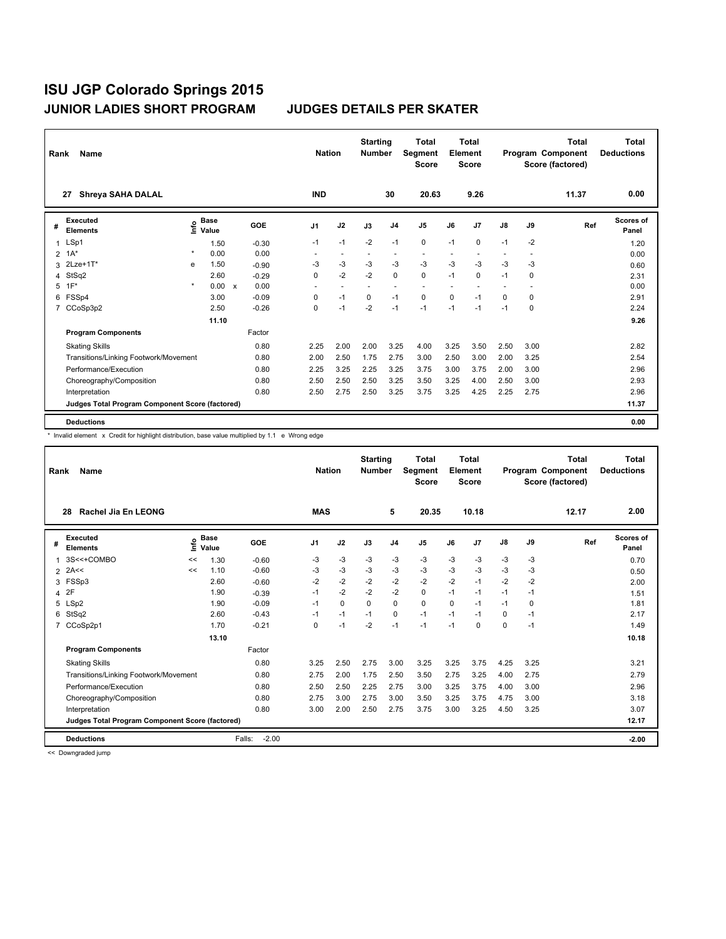| Rank           | Name                                            |         | <b>Nation</b>                               |              | <b>Starting</b><br><b>Number</b> | <b>Total</b><br>Segment<br><b>Score</b> | <b>Total</b><br>Element<br><b>Score</b> |          |                |                | <b>Total</b><br>Program Component<br>Score (factored) | Total<br><b>Deductions</b> |               |             |       |                    |
|----------------|-------------------------------------------------|---------|---------------------------------------------|--------------|----------------------------------|-----------------------------------------|-----------------------------------------|----------|----------------|----------------|-------------------------------------------------------|----------------------------|---------------|-------------|-------|--------------------|
|                | <b>Shreya SAHA DALAL</b><br>27                  |         |                                             |              |                                  | <b>IND</b>                              |                                         |          | 30             | 20.63          |                                                       | 9.26                       |               |             | 11.37 | 0.00               |
| #              | <b>Executed</b><br><b>Elements</b>              |         | <b>Base</b><br>e <sup>Base</sup><br>⊆ Value |              | GOE                              | J1                                      | J2                                      | J3       | J <sub>4</sub> | J <sub>5</sub> | J6                                                    | J <sub>7</sub>             | $\mathsf{J}8$ | J9          | Ref   | Scores of<br>Panel |
| 1              | LSp1                                            |         | 1.50                                        |              | $-0.30$                          | $-1$                                    | $-1$                                    | $-2$     | $-1$           | 0              | $-1$                                                  | $\mathbf 0$                | $-1$          | $-2$        |       | 1.20               |
| $\overline{2}$ | $1A^*$                                          | $\star$ | 0.00                                        |              | 0.00                             |                                         |                                         |          |                |                |                                                       |                            |               |             |       | 0.00               |
| 3              | $2$ Lze+1 $T^*$                                 | e       | 1.50                                        |              | $-0.90$                          | -3                                      | -3                                      | $-3$     | $-3$           | $-3$           | $-3$                                                  | $-3$                       | $-3$          | -3          |       | 0.60               |
| 4              | StSq2                                           |         | 2.60                                        |              | $-0.29$                          | $\Omega$                                | $-2$                                    | $-2$     | $\Omega$       | $\Omega$       | $-1$                                                  | $\mathbf 0$                | $-1$          | 0           |       | 2.31               |
| 5              | $1F^*$                                          | $\star$ | 0.00                                        | $\mathsf{x}$ | 0.00                             |                                         | $\sim$                                  |          | $\overline{a}$ |                |                                                       |                            |               |             |       | 0.00               |
| 6              | FSSp4                                           |         | 3.00                                        |              | $-0.09$                          | 0                                       | $-1$                                    | $\Omega$ | $-1$           | 0              | $\Omega$                                              | $-1$                       | $\Omega$      | 0           |       | 2.91               |
| 7              | CCoSp3p2                                        |         | 2.50                                        |              | $-0.26$                          | 0                                       | $-1$                                    | $-2$     | $-1$           | $-1$           | $-1$                                                  | $-1$                       | $-1$          | $\mathbf 0$ |       | 2.24               |
|                |                                                 |         | 11.10                                       |              |                                  |                                         |                                         |          |                |                |                                                       |                            |               |             |       | 9.26               |
|                | <b>Program Components</b>                       |         |                                             |              | Factor                           |                                         |                                         |          |                |                |                                                       |                            |               |             |       |                    |
|                | <b>Skating Skills</b>                           |         |                                             |              | 0.80                             | 2.25                                    | 2.00                                    | 2.00     | 3.25           | 4.00           | 3.25                                                  | 3.50                       | 2.50          | 3.00        |       | 2.82               |
|                | Transitions/Linking Footwork/Movement           |         |                                             |              | 0.80                             | 2.00                                    | 2.50                                    | 1.75     | 2.75           | 3.00           | 2.50                                                  | 3.00                       | 2.00          | 3.25        |       | 2.54               |
|                | Performance/Execution                           |         |                                             |              | 0.80                             | 2.25                                    | 3.25                                    | 2.25     | 3.25           | 3.75           | 3.00                                                  | 3.75                       | 2.00          | 3.00        |       | 2.96               |
|                | Choreography/Composition                        |         |                                             |              | 0.80                             | 2.50                                    | 2.50                                    | 2.50     | 3.25           | 3.50           | 3.25                                                  | 4.00                       | 2.50          | 3.00        |       | 2.93               |
|                | Interpretation                                  |         |                                             |              | 0.80                             | 2.50                                    | 2.75                                    | 2.50     | 3.25           | 3.75           | 3.25                                                  | 4.25                       | 2.25          | 2.75        |       | 2.96               |
|                | Judges Total Program Component Score (factored) |         |                                             |              |                                  |                                         |                                         |          |                |                |                                                       |                            |               |             |       | 11.37              |
|                | <b>Deductions</b>                               |         |                                             |              |                                  |                                         |                                         |          |                |                |                                                       |                            |               |             |       | 0.00               |

\* Invalid element x Credit for highlight distribution, base value multiplied by 1.1 e Wrong edge

| Name<br>Rank   |                                                 |    |                      |                   |            |      | <b>Starting</b><br><b>Number</b> |                | <b>Total</b><br>Segment<br><b>Score</b> | <b>Total</b><br>Element<br><b>Score</b> |                | Program Component |      | <b>Total</b><br>Score (factored) | <b>Total</b><br><b>Deductions</b> |
|----------------|-------------------------------------------------|----|----------------------|-------------------|------------|------|----------------------------------|----------------|-----------------------------------------|-----------------------------------------|----------------|-------------------|------|----------------------------------|-----------------------------------|
|                | Rachel Jia En LEONG<br>28                       |    |                      |                   | <b>MAS</b> |      |                                  | 5              | 20.35                                   |                                         | 10.18          |                   |      | 12.17                            | 2.00                              |
| #              | Executed<br><b>Elements</b>                     | ۴ů | <b>Base</b><br>Value | GOE               | J1         | J2   | J3                               | J <sub>4</sub> | J <sub>5</sub>                          | J6                                      | J <sub>7</sub> | J8                | J9   | Ref                              | Scores of<br>Panel                |
| 1              | 3S<<+COMBO                                      | << | 1.30                 | $-0.60$           | $-3$       | $-3$ | $-3$                             | $-3$           | $-3$                                    | $-3$                                    | $-3$           | $-3$              | -3   |                                  | 0.70                              |
| $\overline{2}$ | 2A<<                                            | << | 1.10                 | $-0.60$           | -3         | $-3$ | $-3$                             | $-3$           | $-3$                                    | $-3$                                    | $-3$           | $-3$              | -3   |                                  | 0.50                              |
| 3              | FSSp3                                           |    | 2.60                 | $-0.60$           | $-2$       | $-2$ | $-2$                             | $-2$           | $-2$                                    | $-2$                                    | $-1$           | $-2$              | $-2$ |                                  | 2.00                              |
| 4              | 2F                                              |    | 1.90                 | $-0.39$           | $-1$       | $-2$ | $-2$                             | $-2$           | 0                                       | $-1$                                    | $-1$           | $-1$              | $-1$ |                                  | 1.51                              |
|                | 5 LSp2                                          |    | 1.90                 | $-0.09$           | $-1$       | 0    | $\mathbf 0$                      | $\Omega$       | 0                                       | $\Omega$                                | $-1$           | $-1$              | 0    |                                  | 1.81                              |
| 6              | StSq2                                           |    | 2.60                 | $-0.43$           | $-1$       | $-1$ | $-1$                             | 0              | $-1$                                    | $-1$                                    | $-1$           | 0                 | $-1$ |                                  | 2.17                              |
| $\overline{7}$ | CCoSp2p1                                        |    | 1.70                 | $-0.21$           | $\Omega$   | $-1$ | $-2$                             | $-1$           | $-1$                                    | $-1$                                    | $\Omega$       | $\Omega$          | $-1$ |                                  | 1.49                              |
|                |                                                 |    | 13.10                |                   |            |      |                                  |                |                                         |                                         |                |                   |      |                                  | 10.18                             |
|                | <b>Program Components</b>                       |    |                      | Factor            |            |      |                                  |                |                                         |                                         |                |                   |      |                                  |                                   |
|                | <b>Skating Skills</b>                           |    |                      | 0.80              | 3.25       | 2.50 | 2.75                             | 3.00           | 3.25                                    | 3.25                                    | 3.75           | 4.25              | 3.25 |                                  | 3.21                              |
|                | Transitions/Linking Footwork/Movement           |    |                      | 0.80              | 2.75       | 2.00 | 1.75                             | 2.50           | 3.50                                    | 2.75                                    | 3.25           | 4.00              | 2.75 |                                  | 2.79                              |
|                | Performance/Execution                           |    |                      | 0.80              | 2.50       | 2.50 | 2.25                             | 2.75           | 3.00                                    | 3.25                                    | 3.75           | 4.00              | 3.00 |                                  | 2.96                              |
|                | Choreography/Composition                        |    |                      | 0.80              | 2.75       | 3.00 | 2.75                             | 3.00           | 3.50                                    | 3.25                                    | 3.75           | 4.75              | 3.00 |                                  | 3.18                              |
|                | Interpretation                                  |    |                      | 0.80              | 3.00       | 2.00 | 2.50                             | 2.75           | 3.75                                    | 3.00                                    | 3.25           | 4.50              | 3.25 |                                  | 3.07                              |
|                | Judges Total Program Component Score (factored) |    |                      |                   |            |      |                                  |                |                                         |                                         |                |                   |      |                                  | 12.17                             |
|                | <b>Deductions</b>                               |    |                      | $-2.00$<br>Falls: |            |      |                                  |                |                                         |                                         |                |                   |      |                                  | $-2.00$                           |

<< Downgraded jump